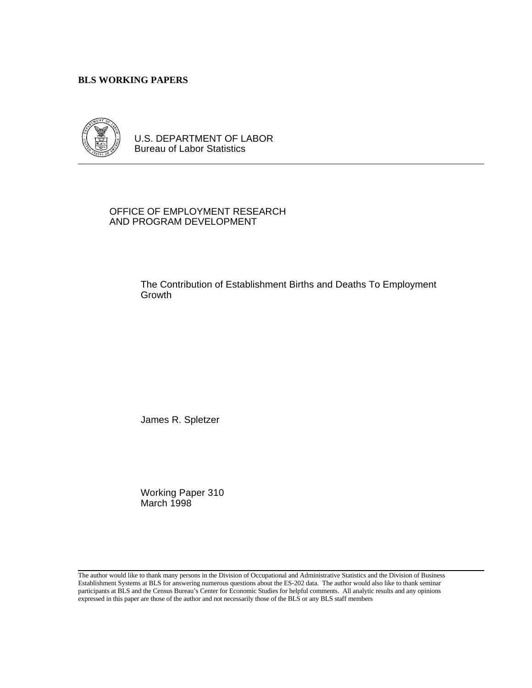### **BLS WORKING PAPERS**



 $\overline{a}$ 

U.S. DEPARTMENT OF LABOR Bureau of Labor Statistics

### OFFICE OF EMPLOYMENT RESEARCH AND PROGRAM DEVELOPMENT

The Contribution of Establishment Births and Deaths To Employment Growth

James R. Spletzer

Working Paper 310 March 1998

The author would like to thank many persons in the Division of Occupational and Administrative Statistics and the Division of Business Establishment Systems at BLS for answering numerous questions about the ES-202 data. The author would also like to thank seminar participants at BLS and the Census Bureau's Center for Economic Studies for helpful comments. All analytic results and any opinions expressed in this paper are those of the author and not necessarily those of the BLS or any BLS staff members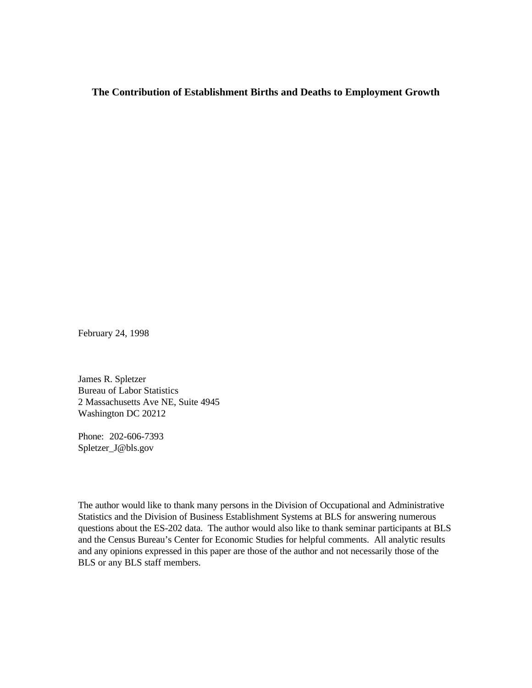### **The Contribution of Establishment Births and Deaths to Employment Growth**

February 24, 1998

James R. Spletzer Bureau of Labor Statistics 2 Massachusetts Ave NE, Suite 4945 Washington DC 20212

Phone: 202-606-7393 Spletzer\_J@bls.gov

The author would like to thank many persons in the Division of Occupational and Administrative Statistics and the Division of Business Establishment Systems at BLS for answering numerous questions about the ES-202 data. The author would also like to thank seminar participants at BLS and the Census Bureau's Center for Economic Studies for helpful comments. All analytic results and any opinions expressed in this paper are those of the author and not necessarily those of the BLS or any BLS staff members.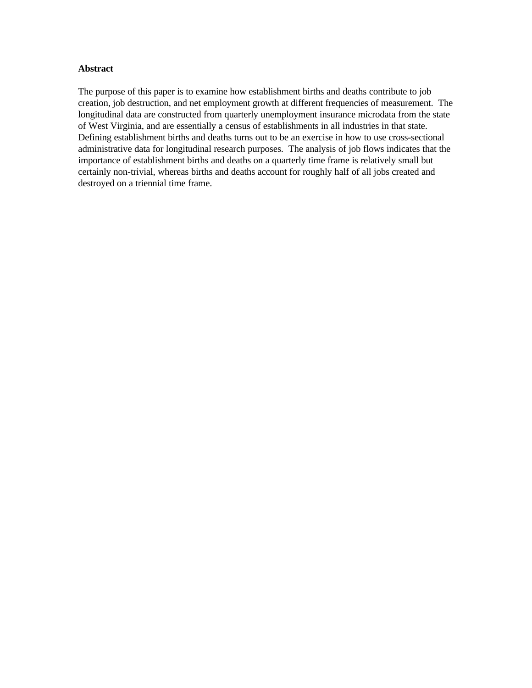### **Abstract**

The purpose of this paper is to examine how establishment births and deaths contribute to job creation, job destruction, and net employment growth at different frequencies of measurement. The longitudinal data are constructed from quarterly unemployment insurance microdata from the state of West Virginia, and are essentially a census of establishments in all industries in that state. Defining establishment births and deaths turns out to be an exercise in how to use cross-sectional administrative data for longitudinal research purposes. The analysis of job flows indicates that the importance of establishment births and deaths on a quarterly time frame is relatively small but certainly non-trivial, whereas births and deaths account for roughly half of all jobs created and destroyed on a triennial time frame.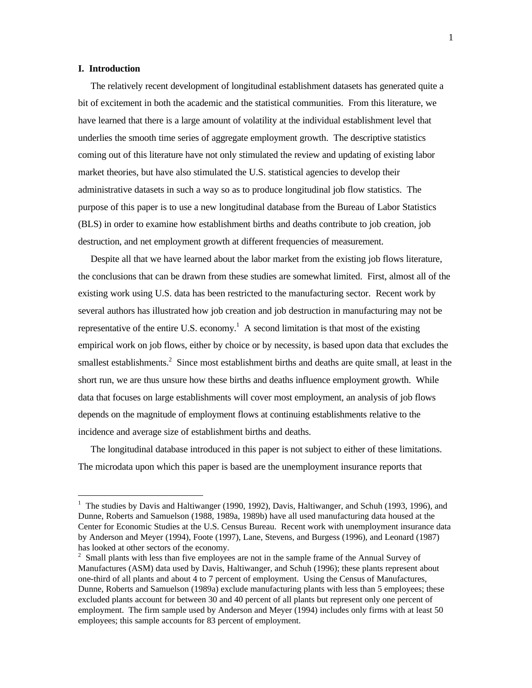#### **I. Introduction**

 $\overline{a}$ 

 The relatively recent development of longitudinal establishment datasets has generated quite a bit of excitement in both the academic and the statistical communities. From this literature, we have learned that there is a large amount of volatility at the individual establishment level that underlies the smooth time series of aggregate employment growth. The descriptive statistics coming out of this literature have not only stimulated the review and updating of existing labor market theories, but have also stimulated the U.S. statistical agencies to develop their administrative datasets in such a way so as to produce longitudinal job flow statistics. The purpose of this paper is to use a new longitudinal database from the Bureau of Labor Statistics (BLS) in order to examine how establishment births and deaths contribute to job creation, job destruction, and net employment growth at different frequencies of measurement.

 Despite all that we have learned about the labor market from the existing job flows literature, the conclusions that can be drawn from these studies are somewhat limited. First, almost all of the existing work using U.S. data has been restricted to the manufacturing sector. Recent work by several authors has illustrated how job creation and job destruction in manufacturing may not be representative of the entire U.S. economy.<sup>1</sup> A second limitation is that most of the existing empirical work on job flows, either by choice or by necessity, is based upon data that excludes the smallest establishments.<sup>2</sup> Since most establishment births and deaths are quite small, at least in the short run, we are thus unsure how these births and deaths influence employment growth. While data that focuses on large establishments will cover most employment, an analysis of job flows depends on the magnitude of employment flows at continuing establishments relative to the incidence and average size of establishment births and deaths.

 The longitudinal database introduced in this paper is not subject to either of these limitations. The microdata upon which this paper is based are the unemployment insurance reports that

<sup>&</sup>lt;sup>1</sup> The studies by Davis and Haltiwanger (1990, 1992), Davis, Haltiwanger, and Schuh (1993, 1996), and Dunne, Roberts and Samuelson (1988, 1989a, 1989b) have all used manufacturing data housed at the Center for Economic Studies at the U.S. Census Bureau. Recent work with unemployment insurance data by Anderson and Meyer (1994), Foote (1997), Lane, Stevens, and Burgess (1996), and Leonard (1987) has looked at other sectors of the economy.

 $2 \text{ Small plants with less than five employees are not in the sample frame of the Annual Survey of }$ Manufactures (ASM) data used by Davis, Haltiwanger, and Schuh (1996); these plants represent about one-third of all plants and about 4 to 7 percent of employment. Using the Census of Manufactures, Dunne, Roberts and Samuelson (1989a) exclude manufacturing plants with less than 5 employees; these excluded plants account for between 30 and 40 percent of all plants but represent only one percent of employment. The firm sample used by Anderson and Meyer (1994) includes only firms with at least 50 employees; this sample accounts for 83 percent of employment.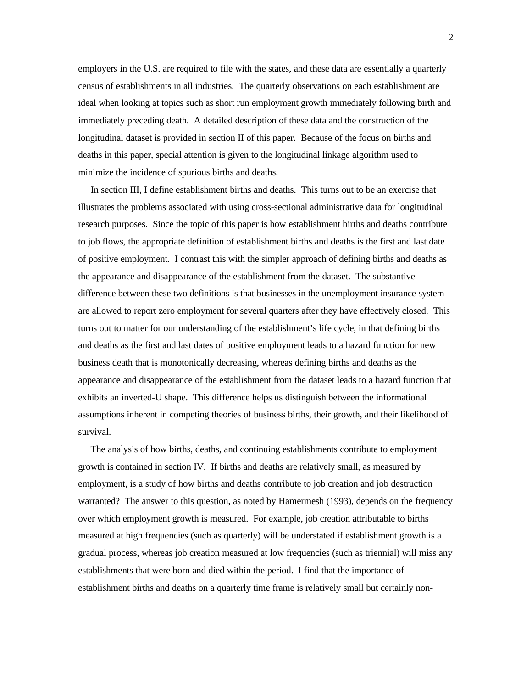employers in the U.S. are required to file with the states, and these data are essentially a quarterly census of establishments in all industries. The quarterly observations on each establishment are ideal when looking at topics such as short run employment growth immediately following birth and immediately preceding death. A detailed description of these data and the construction of the longitudinal dataset is provided in section II of this paper. Because of the focus on births and deaths in this paper, special attention is given to the longitudinal linkage algorithm used to minimize the incidence of spurious births and deaths.

 In section III, I define establishment births and deaths. This turns out to be an exercise that illustrates the problems associated with using cross-sectional administrative data for longitudinal research purposes. Since the topic of this paper is how establishment births and deaths contribute to job flows, the appropriate definition of establishment births and deaths is the first and last date of positive employment. I contrast this with the simpler approach of defining births and deaths as the appearance and disappearance of the establishment from the dataset. The substantive difference between these two definitions is that businesses in the unemployment insurance system are allowed to report zero employment for several quarters after they have effectively closed. This turns out to matter for our understanding of the establishment's life cycle, in that defining births and deaths as the first and last dates of positive employment leads to a hazard function for new business death that is monotonically decreasing, whereas defining births and deaths as the appearance and disappearance of the establishment from the dataset leads to a hazard function that exhibits an inverted-U shape. This difference helps us distinguish between the informational assumptions inherent in competing theories of business births, their growth, and their likelihood of survival.

 The analysis of how births, deaths, and continuing establishments contribute to employment growth is contained in section IV. If births and deaths are relatively small, as measured by employment, is a study of how births and deaths contribute to job creation and job destruction warranted? The answer to this question, as noted by Hamermesh (1993), depends on the frequency over which employment growth is measured. For example, job creation attributable to births measured at high frequencies (such as quarterly) will be understated if establishment growth is a gradual process, whereas job creation measured at low frequencies (such as triennial) will miss any establishments that were born and died within the period. I find that the importance of establishment births and deaths on a quarterly time frame is relatively small but certainly non-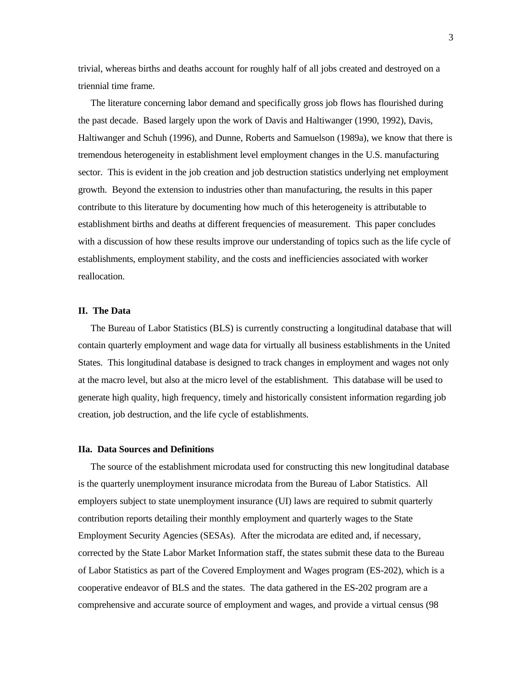trivial, whereas births and deaths account for roughly half of all jobs created and destroyed on a triennial time frame.

 The literature concerning labor demand and specifically gross job flows has flourished during the past decade. Based largely upon the work of Davis and Haltiwanger (1990, 1992), Davis, Haltiwanger and Schuh (1996), and Dunne, Roberts and Samuelson (1989a), we know that there is tremendous heterogeneity in establishment level employment changes in the U.S. manufacturing sector. This is evident in the job creation and job destruction statistics underlying net employment growth. Beyond the extension to industries other than manufacturing, the results in this paper contribute to this literature by documenting how much of this heterogeneity is attributable to establishment births and deaths at different frequencies of measurement. This paper concludes with a discussion of how these results improve our understanding of topics such as the life cycle of establishments, employment stability, and the costs and inefficiencies associated with worker reallocation.

#### **II. The Data**

 The Bureau of Labor Statistics (BLS) is currently constructing a longitudinal database that will contain quarterly employment and wage data for virtually all business establishments in the United States. This longitudinal database is designed to track changes in employment and wages not only at the macro level, but also at the micro level of the establishment. This database will be used to generate high quality, high frequency, timely and historically consistent information regarding job creation, job destruction, and the life cycle of establishments.

#### **IIa. Data Sources and Definitions**

 The source of the establishment microdata used for constructing this new longitudinal database is the quarterly unemployment insurance microdata from the Bureau of Labor Statistics. All employers subject to state unemployment insurance (UI) laws are required to submit quarterly contribution reports detailing their monthly employment and quarterly wages to the State Employment Security Agencies (SESAs). After the microdata are edited and, if necessary, corrected by the State Labor Market Information staff, the states submit these data to the Bureau of Labor Statistics as part of the Covered Employment and Wages program (ES-202), which is a cooperative endeavor of BLS and the states. The data gathered in the ES-202 program are a comprehensive and accurate source of employment and wages, and provide a virtual census (98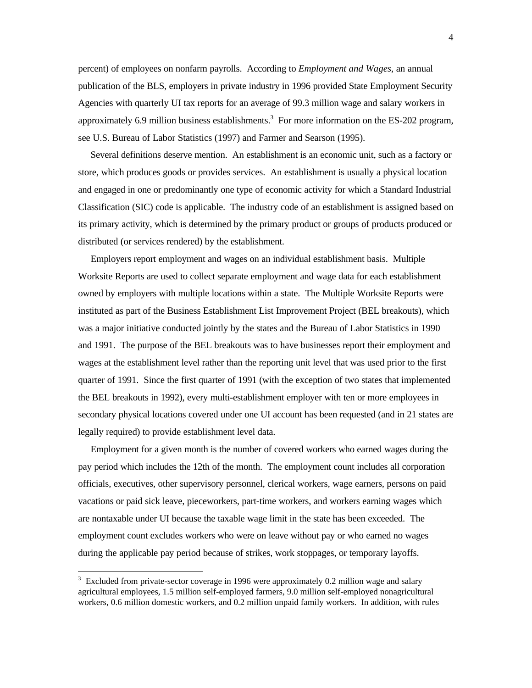percent) of employees on nonfarm payrolls. According to *Employment and Wages*, an annual publication of the BLS, employers in private industry in 1996 provided State Employment Security Agencies with quarterly UI tax reports for an average of 99.3 million wage and salary workers in approximately 6.9 million business establishments.<sup>3</sup> For more information on the ES-202 program, see U.S. Bureau of Labor Statistics (1997) and Farmer and Searson (1995).

 Several definitions deserve mention. An establishment is an economic unit, such as a factory or store, which produces goods or provides services. An establishment is usually a physical location and engaged in one or predominantly one type of economic activity for which a Standard Industrial Classification (SIC) code is applicable. The industry code of an establishment is assigned based on its primary activity, which is determined by the primary product or groups of products produced or distributed (or services rendered) by the establishment.

 Employers report employment and wages on an individual establishment basis. Multiple Worksite Reports are used to collect separate employment and wage data for each establishment owned by employers with multiple locations within a state. The Multiple Worksite Reports were instituted as part of the Business Establishment List Improvement Project (BEL breakouts), which was a major initiative conducted jointly by the states and the Bureau of Labor Statistics in 1990 and 1991. The purpose of the BEL breakouts was to have businesses report their employment and wages at the establishment level rather than the reporting unit level that was used prior to the first quarter of 1991. Since the first quarter of 1991 (with the exception of two states that implemented the BEL breakouts in 1992), every multi-establishment employer with ten or more employees in secondary physical locations covered under one UI account has been requested (and in 21 states are legally required) to provide establishment level data.

 Employment for a given month is the number of covered workers who earned wages during the pay period which includes the 12th of the month. The employment count includes all corporation officials, executives, other supervisory personnel, clerical workers, wage earners, persons on paid vacations or paid sick leave, pieceworkers, part-time workers, and workers earning wages which are nontaxable under UI because the taxable wage limit in the state has been exceeded. The employment count excludes workers who were on leave without pay or who earned no wages during the applicable pay period because of strikes, work stoppages, or temporary layoffs.

 $3$  Excluded from private-sector coverage in 1996 were approximately 0.2 million wage and salary agricultural employees, 1.5 million self-employed farmers, 9.0 million self-employed nonagricultural workers, 0.6 million domestic workers, and 0.2 million unpaid family workers. In addition, with rules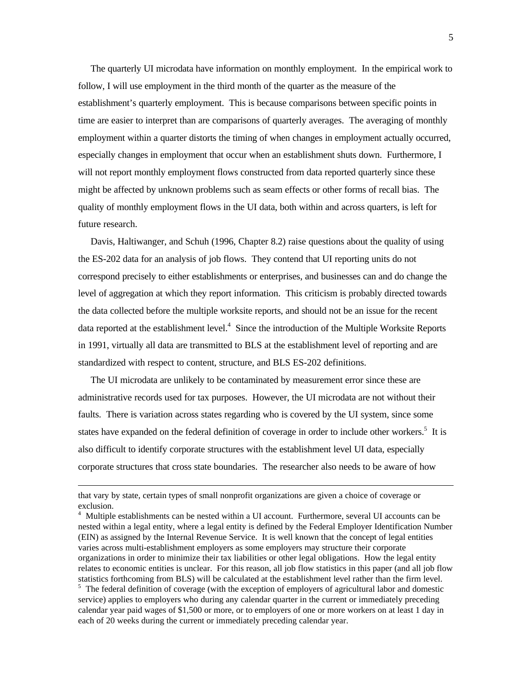The quarterly UI microdata have information on monthly employment. In the empirical work to follow, I will use employment in the third month of the quarter as the measure of the establishment's quarterly employment. This is because comparisons between specific points in time are easier to interpret than are comparisons of quarterly averages. The averaging of monthly employment within a quarter distorts the timing of when changes in employment actually occurred, especially changes in employment that occur when an establishment shuts down. Furthermore, I will not report monthly employment flows constructed from data reported quarterly since these might be affected by unknown problems such as seam effects or other forms of recall bias. The quality of monthly employment flows in the UI data, both within and across quarters, is left for future research.

 Davis, Haltiwanger, and Schuh (1996, Chapter 8.2) raise questions about the quality of using the ES-202 data for an analysis of job flows. They contend that UI reporting units do not correspond precisely to either establishments or enterprises, and businesses can and do change the level of aggregation at which they report information. This criticism is probably directed towards the data collected before the multiple worksite reports, and should not be an issue for the recent data reported at the establishment level.<sup>4</sup> Since the introduction of the Multiple Worksite Reports in 1991, virtually all data are transmitted to BLS at the establishment level of reporting and are standardized with respect to content, structure, and BLS ES-202 definitions.

 The UI microdata are unlikely to be contaminated by measurement error since these are administrative records used for tax purposes. However, the UI microdata are not without their faults. There is variation across states regarding who is covered by the UI system, since some states have expanded on the federal definition of coverage in order to include other workers.<sup>5</sup> It is also difficult to identify corporate structures with the establishment level UI data, especially corporate structures that cross state boundaries. The researcher also needs to be aware of how

that vary by state, certain types of small nonprofit organizations are given a choice of coverage or exclusion.

<sup>&</sup>lt;sup>4</sup> Multiple establishments can be nested within a UI account. Furthermore, several UI accounts can be nested within a legal entity, where a legal entity is defined by the Federal Employer Identification Number (EIN) as assigned by the Internal Revenue Service. It is well known that the concept of legal entities varies across multi-establishment employers as some employers may structure their corporate organizations in order to minimize their tax liabilities or other legal obligations. How the legal entity relates to economic entities is unclear. For this reason, all job flow statistics in this paper (and all job flow statistics forthcoming from BLS) will be calculated at the establishment level rather than the firm level.  $<sup>5</sup>$  The federal definition of coverage (with the exception of employers of agricultural labor and domestic</sup> service) applies to employers who during any calendar quarter in the current or immediately preceding calendar year paid wages of \$1,500 or more, or to employers of one or more workers on at least 1 day in each of 20 weeks during the current or immediately preceding calendar year.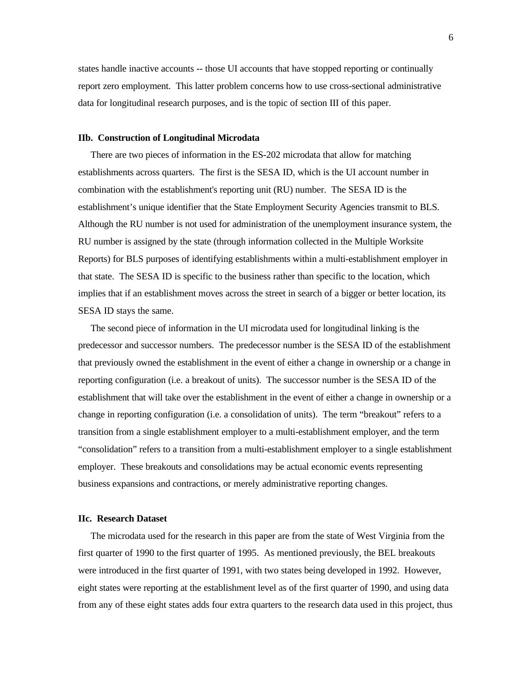states handle inactive accounts -- those UI accounts that have stopped reporting or continually report zero employment. This latter problem concerns how to use cross-sectional administrative data for longitudinal research purposes, and is the topic of section III of this paper.

### **IIb. Construction of Longitudinal Microdata**

 There are two pieces of information in the ES-202 microdata that allow for matching establishments across quarters. The first is the SESA ID, which is the UI account number in combination with the establishment's reporting unit (RU) number. The SESA ID is the establishment's unique identifier that the State Employment Security Agencies transmit to BLS. Although the RU number is not used for administration of the unemployment insurance system, the RU number is assigned by the state (through information collected in the Multiple Worksite Reports) for BLS purposes of identifying establishments within a multi-establishment employer in that state. The SESA ID is specific to the business rather than specific to the location, which implies that if an establishment moves across the street in search of a bigger or better location, its SESA ID stays the same.

 The second piece of information in the UI microdata used for longitudinal linking is the predecessor and successor numbers. The predecessor number is the SESA ID of the establishment that previously owned the establishment in the event of either a change in ownership or a change in reporting configuration (i.e. a breakout of units). The successor number is the SESA ID of the establishment that will take over the establishment in the event of either a change in ownership or a change in reporting configuration (i.e. a consolidation of units). The term "breakout" refers to a transition from a single establishment employer to a multi-establishment employer, and the term "consolidation" refers to a transition from a multi-establishment employer to a single establishment employer. These breakouts and consolidations may be actual economic events representing business expansions and contractions, or merely administrative reporting changes.

#### **IIc. Research Dataset**

 The microdata used for the research in this paper are from the state of West Virginia from the first quarter of 1990 to the first quarter of 1995. As mentioned previously, the BEL breakouts were introduced in the first quarter of 1991, with two states being developed in 1992. However, eight states were reporting at the establishment level as of the first quarter of 1990, and using data from any of these eight states adds four extra quarters to the research data used in this project, thus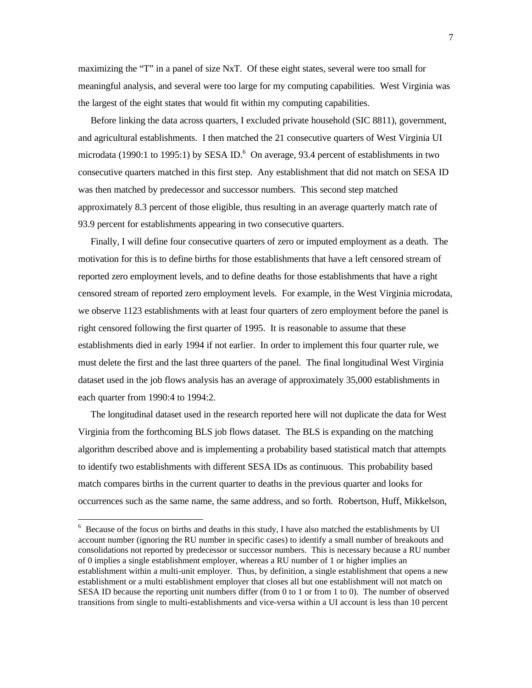maximizing the "T" in a panel of size NxT. Of these eight states, several were too small for meaningful analysis, and several were too large for my computing capabilities. West Virginia was the largest of the eight states that would fit within my computing capabilities.

 Before linking the data across quarters, I excluded private household (SIC 8811), government, and agricultural establishments. I then matched the 21 consecutive quarters of West Virginia UI microdata (1990:1 to 1995:1) by SESA ID.<sup>6</sup> On average, 93.4 percent of establishments in two consecutive quarters matched in this first step. Any establishment that did not match on SESA ID was then matched by predecessor and successor numbers. This second step matched approximately 8.3 percent of those eligible, thus resulting in an average quarterly match rate of 93.9 percent for establishments appearing in two consecutive quarters.

 Finally, I will define four consecutive quarters of zero or imputed employment as a death. The motivation for this is to define births for those establishments that have a left censored stream of reported zero employment levels, and to define deaths for those establishments that have a right censored stream of reported zero employment levels. For example, in the West Virginia microdata, we observe 1123 establishments with at least four quarters of zero employment before the panel is right censored following the first quarter of 1995. It is reasonable to assume that these establishments died in early 1994 if not earlier. In order to implement this four quarter rule, we must delete the first and the last three quarters of the panel. The final longitudinal West Virginia dataset used in the job flows analysis has an average of approximately 35,000 establishments in each quarter from 1990:4 to 1994:2.

 The longitudinal dataset used in the research reported here will not duplicate the data for West Virginia from the forthcoming BLS job flows dataset. The BLS is expanding on the matching algorithm described above and is implementing a probability based statistical match that attempts to identify two establishments with different SESA IDs as continuous. This probability based match compares births in the current quarter to deaths in the previous quarter and looks for occurrences such as the same name, the same address, and so forth. Robertson, Huff, Mikkelson,

<sup>&</sup>lt;sup>6</sup> Because of the focus on births and deaths in this study, I have also matched the establishments by UI account number (ignoring the RU number in specific cases) to identify a small number of breakouts and consolidations not reported by predecessor or successor numbers. This is necessary because a RU number of 0 implies a single establishment employer, whereas a RU number of 1 or higher implies an establishment within a multi-unit employer. Thus, by definition, a single establishment that opens a new establishment or a multi establishment employer that closes all but one establishment will not match on SESA ID because the reporting unit numbers differ (from 0 to 1 or from 1 to 0). The number of observed transitions from single to multi-establishments and vice-versa within a UI account is less than 10 percent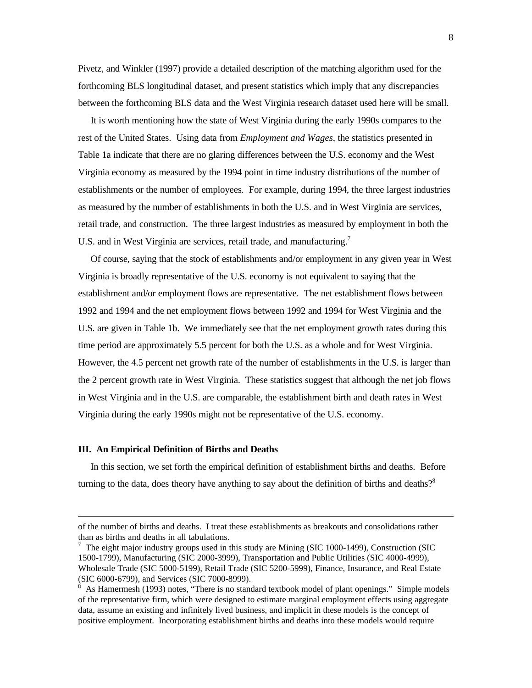Pivetz, and Winkler (1997) provide a detailed description of the matching algorithm used for the forthcoming BLS longitudinal dataset, and present statistics which imply that any discrepancies between the forthcoming BLS data and the West Virginia research dataset used here will be small.

 It is worth mentioning how the state of West Virginia during the early 1990s compares to the rest of the United States. Using data from *Employment and Wages*, the statistics presented in Table 1a indicate that there are no glaring differences between the U.S. economy and the West Virginia economy as measured by the 1994 point in time industry distributions of the number of establishments or the number of employees. For example, during 1994, the three largest industries as measured by the number of establishments in both the U.S. and in West Virginia are services, retail trade, and construction. The three largest industries as measured by employment in both the U.S. and in West Virginia are services, retail trade, and manufacturing.<sup>7</sup>

 Of course, saying that the stock of establishments and/or employment in any given year in West Virginia is broadly representative of the U.S. economy is not equivalent to saying that the establishment and/or employment flows are representative. The net establishment flows between 1992 and 1994 and the net employment flows between 1992 and 1994 for West Virginia and the U.S. are given in Table 1b. We immediately see that the net employment growth rates during this time period are approximately 5.5 percent for both the U.S. as a whole and for West Virginia. However, the 4.5 percent net growth rate of the number of establishments in the U.S. is larger than the 2 percent growth rate in West Virginia. These statistics suggest that although the net job flows in West Virginia and in the U.S. are comparable, the establishment birth and death rates in West Virginia during the early 1990s might not be representative of the U.S. economy.

#### **III. An Empirical Definition of Births and Deaths**

 $\overline{a}$ 

 In this section, we set forth the empirical definition of establishment births and deaths. Before turning to the data, does theory have anything to say about the definition of births and deaths?<sup>8</sup>

of the number of births and deaths. I treat these establishments as breakouts and consolidations rather than as births and deaths in all tabulations.

 $<sup>7</sup>$  The eight major industry groups used in this study are Mining (SIC 1000-1499), Construction (SIC</sup> 1500-1799), Manufacturing (SIC 2000-3999), Transportation and Public Utilities (SIC 4000-4999), Wholesale Trade (SIC 5000-5199), Retail Trade (SIC 5200-5999), Finance, Insurance, and Real Estate (SIC 6000-6799), and Services (SIC 7000-8999).

<sup>&</sup>lt;sup>8</sup> As Hamermesh (1993) notes, "There is no standard textbook model of plant openings." Simple models of the representative firm, which were designed to estimate marginal employment effects using aggregate data, assume an existing and infinitely lived business, and implicit in these models is the concept of positive employment. Incorporating establishment births and deaths into these models would require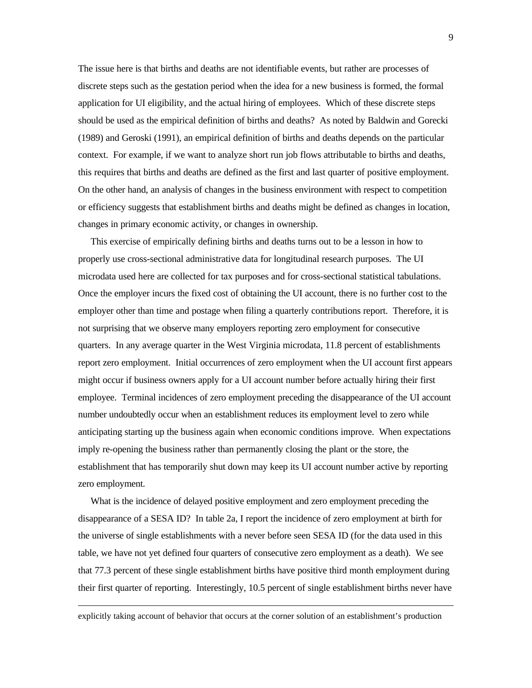The issue here is that births and deaths are not identifiable events, but rather are processes of discrete steps such as the gestation period when the idea for a new business is formed, the formal application for UI eligibility, and the actual hiring of employees. Which of these discrete steps should be used as the empirical definition of births and deaths? As noted by Baldwin and Gorecki (1989) and Geroski (1991), an empirical definition of births and deaths depends on the particular context. For example, if we want to analyze short run job flows attributable to births and deaths, this requires that births and deaths are defined as the first and last quarter of positive employment. On the other hand, an analysis of changes in the business environment with respect to competition or efficiency suggests that establishment births and deaths might be defined as changes in location, changes in primary economic activity, or changes in ownership.

 This exercise of empirically defining births and deaths turns out to be a lesson in how to properly use cross-sectional administrative data for longitudinal research purposes. The UI microdata used here are collected for tax purposes and for cross-sectional statistical tabulations. Once the employer incurs the fixed cost of obtaining the UI account, there is no further cost to the employer other than time and postage when filing a quarterly contributions report. Therefore, it is not surprising that we observe many employers reporting zero employment for consecutive quarters. In any average quarter in the West Virginia microdata, 11.8 percent of establishments report zero employment. Initial occurrences of zero employment when the UI account first appears might occur if business owners apply for a UI account number before actually hiring their first employee. Terminal incidences of zero employment preceding the disappearance of the UI account number undoubtedly occur when an establishment reduces its employment level to zero while anticipating starting up the business again when economic conditions improve. When expectations imply re-opening the business rather than permanently closing the plant or the store, the establishment that has temporarily shut down may keep its UI account number active by reporting zero employment.

 What is the incidence of delayed positive employment and zero employment preceding the disappearance of a SESA ID? In table 2a, I report the incidence of zero employment at birth for the universe of single establishments with a never before seen SESA ID (for the data used in this table, we have not yet defined four quarters of consecutive zero employment as a death). We see that 77.3 percent of these single establishment births have positive third month employment during their first quarter of reporting. Interestingly, 10.5 percent of single establishment births never have

explicitly taking account of behavior that occurs at the corner solution of an establishment's production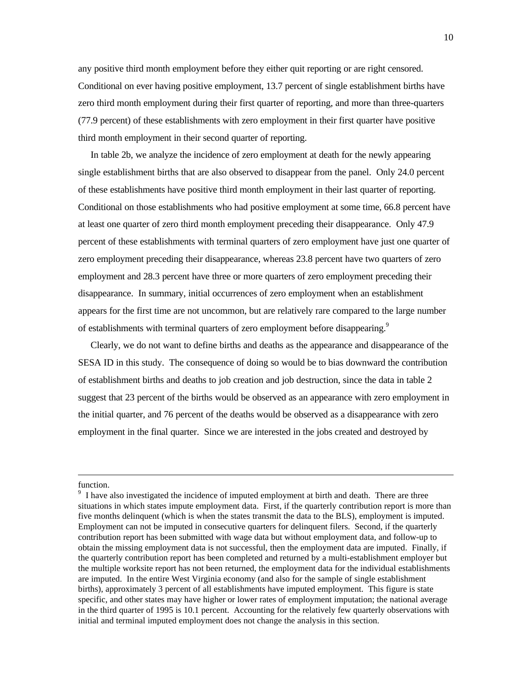any positive third month employment before they either quit reporting or are right censored. Conditional on ever having positive employment, 13.7 percent of single establishment births have zero third month employment during their first quarter of reporting, and more than three-quarters (77.9 percent) of these establishments with zero employment in their first quarter have positive third month employment in their second quarter of reporting.

 In table 2b, we analyze the incidence of zero employment at death for the newly appearing single establishment births that are also observed to disappear from the panel. Only 24.0 percent of these establishments have positive third month employment in their last quarter of reporting. Conditional on those establishments who had positive employment at some time, 66.8 percent have at least one quarter of zero third month employment preceding their disappearance. Only 47.9 percent of these establishments with terminal quarters of zero employment have just one quarter of zero employment preceding their disappearance, whereas 23.8 percent have two quarters of zero employment and 28.3 percent have three or more quarters of zero employment preceding their disappearance. In summary, initial occurrences of zero employment when an establishment appears for the first time are not uncommon, but are relatively rare compared to the large number of establishments with terminal quarters of zero employment before disappearing.<sup>9</sup>

 Clearly, we do not want to define births and deaths as the appearance and disappearance of the SESA ID in this study. The consequence of doing so would be to bias downward the contribution of establishment births and deaths to job creation and job destruction, since the data in table 2 suggest that 23 percent of the births would be observed as an appearance with zero employment in the initial quarter, and 76 percent of the deaths would be observed as a disappearance with zero employment in the final quarter. Since we are interested in the jobs created and destroyed by

function.

<sup>&</sup>lt;sup>9</sup> I have also investigated the incidence of imputed employment at birth and death. There are three situations in which states impute employment data. First, if the quarterly contribution report is more than five months delinquent (which is when the states transmit the data to the BLS), employment is imputed. Employment can not be imputed in consecutive quarters for delinquent filers. Second, if the quarterly contribution report has been submitted with wage data but without employment data, and follow-up to obtain the missing employment data is not successful, then the employment data are imputed. Finally, if the quarterly contribution report has been completed and returned by a multi-establishment employer but the multiple worksite report has not been returned, the employment data for the individual establishments are imputed. In the entire West Virginia economy (and also for the sample of single establishment births), approximately 3 percent of all establishments have imputed employment. This figure is state specific, and other states may have higher or lower rates of employment imputation; the national average in the third quarter of 1995 is 10.1 percent. Accounting for the relatively few quarterly observations with initial and terminal imputed employment does not change the analysis in this section.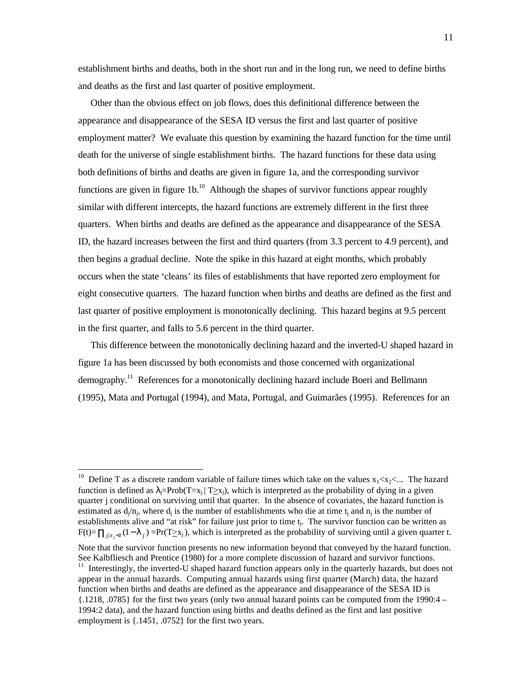establishment births and deaths, both in the short run and in the long run, we need to define births and deaths as the first and last quarter of positive employment.

 Other than the obvious effect on job flows, does this definitional difference between the appearance and disappearance of the SESA ID versus the first and last quarter of positive employment matter? We evaluate this question by examining the hazard function for the time until death for the universe of single establishment births. The hazard functions for these data using both definitions of births and deaths are given in figure 1a, and the corresponding survivor functions are given in figure  $1b<sup>10</sup>$  Although the shapes of survivor functions appear roughly similar with different intercepts, the hazard functions are extremely different in the first three quarters. When births and deaths are defined as the appearance and disappearance of the SESA ID, the hazard increases between the first and third quarters (from 3.3 percent to 4.9 percent), and then begins a gradual decline. Note the spike in this hazard at eight months, which probably occurs when the state 'cleans' its files of establishments that have reported zero employment for eight consecutive quarters. The hazard function when births and deaths are defined as the first and last quarter of positive employment is monotonically declining. This hazard begins at 9.5 percent in the first quarter, and falls to 5.6 percent in the third quarter.

 This difference between the monotonically declining hazard and the inverted-U shaped hazard in figure 1a has been discussed by both economists and those concerned with organizational demography.<sup>11</sup> References for a monotonically declining hazard include Boeri and Bellmann (1995), Mata and Portugal (1994), and Mata, Portugal, and Guimarães (1995). References for an

<sup>&</sup>lt;sup>10</sup> Define T as a discrete random variable of failure times which take on the values  $x_1 < x_2 < ...$  The hazard function is defined as  $\lambda_i = \text{Prob}(T = x_i | T > x_i)$ , which is interpreted as the probability of dying in a given quarter j conditional on surviving until that quarter. In the absence of covariates, the hazard function is estimated as  $d_j/n_j$ , where  $d_j$  is the number of establishments who die at time  $t_j$  and  $n_j$  is the number of establishments alive and "at risk" for failure just prior to time t<sub>j</sub>. The survivor function can be written as  $F(t) = \prod_{j|x_j \le t} (1 - l_j) = Pr(T \ge x_j)$ , which is interpreted as the probability of surviving until a given quarter t. |

Note that the survivor function presents no new information beyond that conveyed by the hazard function. See Kalbfliesch and Prentice (1980) for a more complete discussion of hazard and survivor functions.

 $11$  Interestingly, the inverted-U shaped hazard function appears only in the quarterly hazards, but does not appear in the annual hazards. Computing annual hazards using first quarter (March) data, the hazard function when births and deaths are defined as the appearance and disappearance of the SESA ID is {.1218, .0785} for the first two years (only two annual hazard points can be computed from the 1990:4 – 1994:2 data), and the hazard function using births and deaths defined as the first and last positive employment is {.1451, .0752} for the first two years.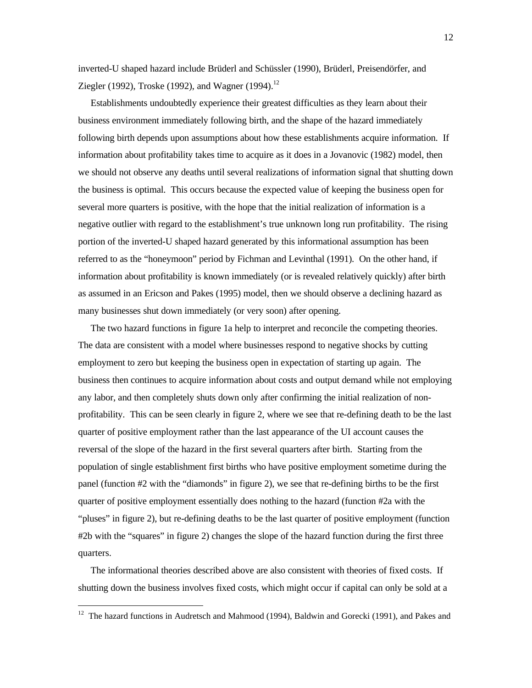inverted-U shaped hazard include Brüderl and Schüssler (1990), Brüderl, Preisendörfer, and Ziegler (1992), Troske (1992), and Wagner (1994).<sup>12</sup>

 Establishments undoubtedly experience their greatest difficulties as they learn about their business environment immediately following birth, and the shape of the hazard immediately following birth depends upon assumptions about how these establishments acquire information. If information about profitability takes time to acquire as it does in a Jovanovic (1982) model, then we should not observe any deaths until several realizations of information signal that shutting down the business is optimal. This occurs because the expected value of keeping the business open for several more quarters is positive, with the hope that the initial realization of information is a negative outlier with regard to the establishment's true unknown long run profitability. The rising portion of the inverted-U shaped hazard generated by this informational assumption has been referred to as the "honeymoon" period by Fichman and Levinthal (1991). On the other hand, if information about profitability is known immediately (or is revealed relatively quickly) after birth as assumed in an Ericson and Pakes (1995) model, then we should observe a declining hazard as many businesses shut down immediately (or very soon) after opening.

 The two hazard functions in figure 1a help to interpret and reconcile the competing theories. The data are consistent with a model where businesses respond to negative shocks by cutting employment to zero but keeping the business open in expectation of starting up again. The business then continues to acquire information about costs and output demand while not employing any labor, and then completely shuts down only after confirming the initial realization of nonprofitability. This can be seen clearly in figure 2, where we see that re-defining death to be the last quarter of positive employment rather than the last appearance of the UI account causes the reversal of the slope of the hazard in the first several quarters after birth. Starting from the population of single establishment first births who have positive employment sometime during the panel (function #2 with the "diamonds" in figure 2), we see that re-defining births to be the first quarter of positive employment essentially does nothing to the hazard (function #2a with the "pluses" in figure 2), but re-defining deaths to be the last quarter of positive employment (function #2b with the "squares" in figure 2) changes the slope of the hazard function during the first three quarters.

 The informational theories described above are also consistent with theories of fixed costs. If shutting down the business involves fixed costs, which might occur if capital can only be sold at a

<sup>&</sup>lt;sup>12</sup> The hazard functions in Audretsch and Mahmood (1994), Baldwin and Gorecki (1991), and Pakes and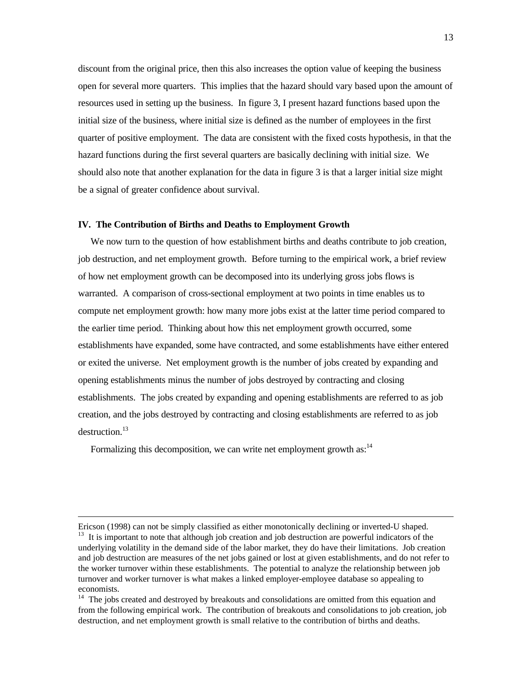discount from the original price, then this also increases the option value of keeping the business open for several more quarters. This implies that the hazard should vary based upon the amount of resources used in setting up the business. In figure 3, I present hazard functions based upon the initial size of the business, where initial size is defined as the number of employees in the first quarter of positive employment. The data are consistent with the fixed costs hypothesis, in that the hazard functions during the first several quarters are basically declining with initial size. We should also note that another explanation for the data in figure 3 is that a larger initial size might be a signal of greater confidence about survival.

#### **IV. The Contribution of Births and Deaths to Employment Growth**

 We now turn to the question of how establishment births and deaths contribute to job creation, job destruction, and net employment growth. Before turning to the empirical work, a brief review of how net employment growth can be decomposed into its underlying gross jobs flows is warranted. A comparison of cross-sectional employment at two points in time enables us to compute net employment growth: how many more jobs exist at the latter time period compared to the earlier time period. Thinking about how this net employment growth occurred, some establishments have expanded, some have contracted, and some establishments have either entered or exited the universe. Net employment growth is the number of jobs created by expanding and opening establishments minus the number of jobs destroyed by contracting and closing establishments. The jobs created by expanding and opening establishments are referred to as job creation, and the jobs destroyed by contracting and closing establishments are referred to as job destruction.<sup>13</sup>

Formalizing this decomposition, we can write net employment growth as:  $14$ 

Ericson (1998) can not be simply classified as either monotonically declining or inverted-U shaped. <sup>13</sup> It is important to note that although job creation and job destruction are powerful indicators of the underlying volatility in the demand side of the labor market, they do have their limitations. Job creation and job destruction are measures of the net jobs gained or lost at given establishments, and do not refer to the worker turnover within these establishments. The potential to analyze the relationship between job turnover and worker turnover is what makes a linked employer-employee database so appealing to economists.

<sup>&</sup>lt;sup>14</sup> The jobs created and destroyed by breakouts and consolidations are omitted from this equation and from the following empirical work. The contribution of breakouts and consolidations to job creation, job destruction, and net employment growth is small relative to the contribution of births and deaths.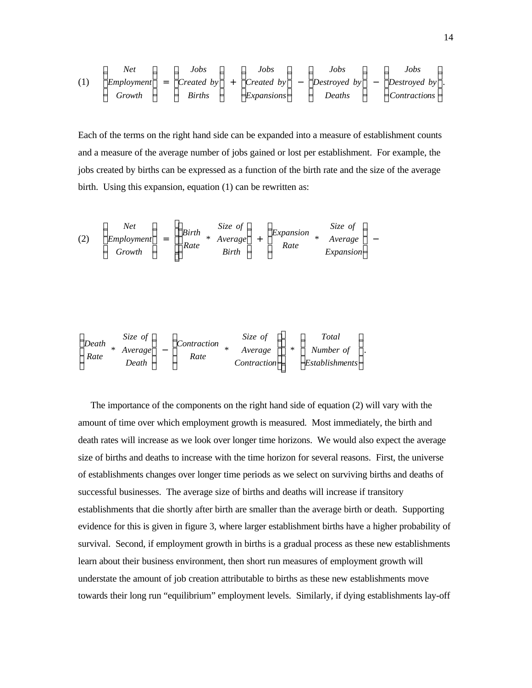$$
(1) \quad \begin{pmatrix} Net \\ Employment \\ Growth \end{pmatrix} = \begin{pmatrix} Jobs \\ Create \; by \\ Births \end{pmatrix} + \begin{pmatrix} Jobs \\ Create \; by \\ Expansions \end{pmatrix} - \begin{pmatrix} Jobs \\ Destroyed \; by \\ Deaths \end{pmatrix} - \begin{pmatrix} Jobs \\ Destroyed \; by \\ Contractions \end{pmatrix}.
$$

Each of the terms on the right hand side can be expanded into a measure of establishment counts and a measure of the average number of jobs gained or lost per establishment. For example, the jobs created by births can be expressed as a function of the birth rate and the size of the average birth. Using this expansion, equation (1) can be rewritten as:

$$
(2) \quad \begin{pmatrix} Net \\ Employment \\ Growth \end{pmatrix} = \begin{pmatrix} Birth & Size \ of \\ Rate & Average \\ Rate & Birth \end{pmatrix} + \begin{pmatrix} Expansion & Size \ of \\ Rate & Average \\ Rate & State \end{pmatrix} - Expansion
$$

 $\mathbf{r}$ 

$$
\begin{pmatrix}\n\text{Death} & \text{Size of} \\
\text{Rate} & \text{Average} \\
\text{Rate}\n\end{pmatrix} - \begin{pmatrix}\n\text{Contraction} & \text{Size of} \\
\text{Rate} & \text{Average} \\
\text{Contraction}\n\end{pmatrix} * \begin{pmatrix}\n\text{Total} \\
\text{Number of} \\
\text{Estabilshments}\n\end{pmatrix}.
$$

 The importance of the components on the right hand side of equation (2) will vary with the amount of time over which employment growth is measured. Most immediately, the birth and death rates will increase as we look over longer time horizons. We would also expect the average size of births and deaths to increase with the time horizon for several reasons. First, the universe of establishments changes over longer time periods as we select on surviving births and deaths of successful businesses. The average size of births and deaths will increase if transitory establishments that die shortly after birth are smaller than the average birth or death. Supporting evidence for this is given in figure 3, where larger establishment births have a higher probability of survival. Second, if employment growth in births is a gradual process as these new establishments learn about their business environment, then short run measures of employment growth will understate the amount of job creation attributable to births as these new establishments move towards their long run "equilibrium" employment levels. Similarly, if dying establishments lay-off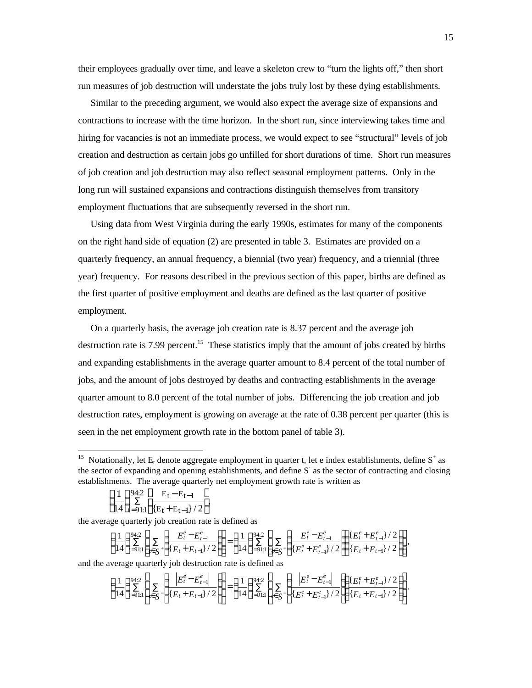their employees gradually over time, and leave a skeleton crew to "turn the lights off," then short run measures of job destruction will understate the jobs truly lost by these dying establishments.

 Similar to the preceding argument, we would also expect the average size of expansions and contractions to increase with the time horizon. In the short run, since interviewing takes time and hiring for vacancies is not an immediate process, we would expect to see "structural" levels of job creation and destruction as certain jobs go unfilled for short durations of time. Short run measures of job creation and job destruction may also reflect seasonal employment patterns. Only in the long run will sustained expansions and contractions distinguish themselves from transitory employment fluctuations that are subsequently reversed in the short run.

 Using data from West Virginia during the early 1990s, estimates for many of the components on the right hand side of equation (2) are presented in table 3. Estimates are provided on a quarterly frequency, an annual frequency, a biennial (two year) frequency, and a triennial (three year) frequency. For reasons described in the previous section of this paper, births are defined as the first quarter of positive employment and deaths are defined as the last quarter of positive employment.

 On a quarterly basis, the average job creation rate is 8.37 percent and the average job destruction rate is 7.99 percent.<sup>15</sup> These statistics imply that the amount of jobs created by births and expanding establishments in the average quarter amount to 8.4 percent of the total number of jobs, and the amount of jobs destroyed by deaths and contracting establishments in the average quarter amount to 8.0 percent of the total number of jobs. Differencing the job creation and job destruction rates, employment is growing on average at the rate of 0.38 percent per quarter (this is seen in the net employment growth rate in the bottom panel of table 3).

$$
\left(\frac{1}{14}\right)^{94:2} \frac{E_t - E_{t-1}}{\left(\frac{1}{14}\right)^{1/2}}
$$

 $\overline{a}$ 

$$
\left(\frac{2}{14}\right)_{t=91:1}\left[\frac{1}{\left\{E_{t}+E_{t-1}\right\}/2}\right],
$$

the average quarterly job creation rate is defined as

$$
\left(\frac{1}{14}\right)_{t=91:1}^{94:2} \left[ \sum_{e \in S^+} \left( \frac{E_t^e - E_{t-1}^e}{\{E_t + E_{t-1}\}^2} \right) \right] = \left(\frac{1}{14}\right)_{t=91:1}^{94:2} \left[ \sum_{e \in S^+} \left( \frac{E_t^e - E_{t-1}^e}{\{E_t^e + E_{t-1}^e\}^2} \right) \left( \frac{\{E_t^e + E_{t-1}^e\}^2}{\{E_t + E_{t-1}\}^2} \right) \right]
$$

and the average quarterly job destruction rate is defined as

J

$$
\left(\frac{1}{14}\right)_{t=91:1}^{94:2} \left[ \sum_{e \in S^{-}} \left( \frac{\left| E_{t}^{e} - E_{t-1}^{e} \right|}{\left\{ E_{t} + E_{t-1} \right\} / 2} \right) \right] = \left(\frac{1}{14}\right)_{t=91:1}^{94:2} \left[ \sum_{e \in S^{-}} \left( \frac{\left| E_{t}^{e} - E_{t-1}^{e} \right|}{\left\{ E_{t}^{e} + E_{t-1}^{e} \right\} / 2} \right) \left( \frac{\left\{ E_{t}^{e} + E_{t-1}^{e} \right\} / 2}{\left\{ E_{t} + E_{t-1} \right\} / 2} \right) \right]
$$

,

.

<sup>&</sup>lt;sup>15</sup> Notationally, let  $E_t$  denote aggregate employment in quarter t, let e index establishments, define  $S^+$  as the sector of expanding and opening establishments, and define S as the sector of contracting and closing establishments. The average quarterly net employment growth rate is written as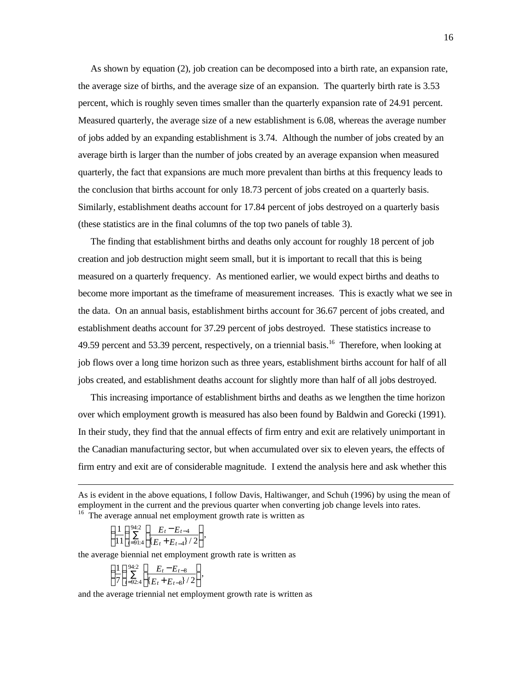As shown by equation (2), job creation can be decomposed into a birth rate, an expansion rate, the average size of births, and the average size of an expansion. The quarterly birth rate is 3.53 percent, which is roughly seven times smaller than the quarterly expansion rate of 24.91 percent. Measured quarterly, the average size of a new establishment is 6.08, whereas the average number of jobs added by an expanding establishment is 3.74. Although the number of jobs created by an average birth is larger than the number of jobs created by an average expansion when measured quarterly, the fact that expansions are much more prevalent than births at this frequency leads to the conclusion that births account for only 18.73 percent of jobs created on a quarterly basis. Similarly, establishment deaths account for 17.84 percent of jobs destroyed on a quarterly basis (these statistics are in the final columns of the top two panels of table 3).

 The finding that establishment births and deaths only account for roughly 18 percent of job creation and job destruction might seem small, but it is important to recall that this is being measured on a quarterly frequency. As mentioned earlier, we would expect births and deaths to become more important as the timeframe of measurement increases. This is exactly what we see in the data. On an annual basis, establishment births account for 36.67 percent of jobs created, and establishment deaths account for 37.29 percent of jobs destroyed. These statistics increase to 49.59 percent and 53.39 percent, respectively, on a triennial basis.<sup>16</sup> Therefore, when looking at job flows over a long time horizon such as three years, establishment births account for half of all jobs created, and establishment deaths account for slightly more than half of all jobs destroyed.

 This increasing importance of establishment births and deaths as we lengthen the time horizon over which employment growth is measured has also been found by Baldwin and Gorecki (1991). In their study, they find that the annual effects of firm entry and exit are relatively unimportant in the Canadian manufacturing sector, but when accumulated over six to eleven years, the effects of firm entry and exit are of considerable magnitude. I extend the analysis here and ask whether this

$$
\left(\frac{1}{11}\right)^{94:2}_{=91:4} \left[\frac{E_t - E_{t-4}}{\{E_t + E_{t-4}\}/2}\right],
$$

<u>.</u>

the average biennial net employment growth rate is written as

$$
\left(\frac{1}{7}\right)^{94:2}_{=92:4}\left[\frac{E_t-E_{t-8}}{\{E_t+E_{t-8}\}/2}\right],
$$

and the average triennial net employment growth rate is written as

As is evident in the above equations, I follow Davis, Haltiwanger, and Schuh (1996) by using the mean of employment in the current and the previous quarter when converting job change levels into rates. <sup>16</sup> The average annual net employment growth rate is written as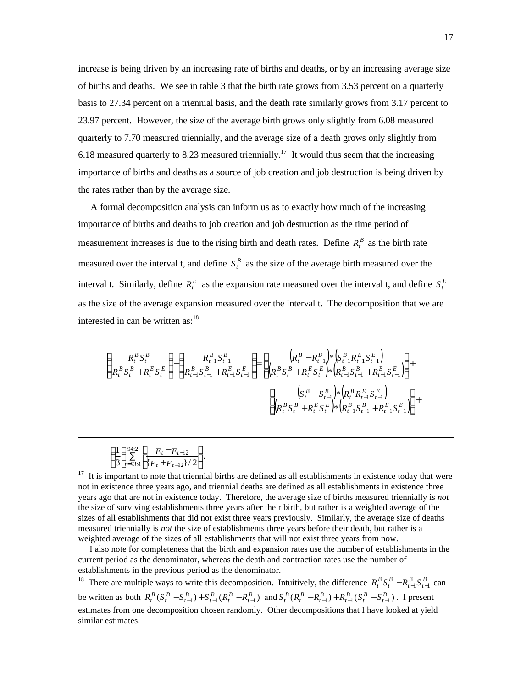increase is being driven by an increasing rate of births and deaths, or by an increasing average size of births and deaths. We see in table 3 that the birth rate grows from 3.53 percent on a quarterly basis to 27.34 percent on a triennial basis, and the death rate similarly grows from 3.17 percent to 23.97 percent. However, the size of the average birth grows only slightly from 6.08 measured quarterly to 7.70 measured triennially, and the average size of a death grows only slightly from 6.18 measured quarterly to 8.23 measured triennially.<sup>17</sup> It would thus seem that the increasing importance of births and deaths as a source of job creation and job destruction is being driven by the rates rather than by the average size.

 A formal decomposition analysis can inform us as to exactly how much of the increasing importance of births and deaths to job creation and job destruction as the time period of measurement increases is due to the rising birth and death rates. Define  $R_t^B$  as the birth rate measured over the interval t, and define  $S_t^B$  as the size of the average birth measured over the interval t. Similarly, define  $R_t^E$  as the expansion rate measured over the interval t, and define  $S_t^E$ as the size of the average expansion measured over the interval t. The decomposition that we are interested in can be written  $\text{as:}^{18}$ 

$$
\left(\frac{R_t^B S_t^B}{R_t^B S_t^B + R_t^E S_t^E}\right) - \left(\frac{R_{t-1}^B S_{t-1}^B}{R_{t-1}^B S_{t-1}^B + R_{t-1}^E S_{t-1}^E}\right) = \left[\frac{\left(R_t^B - R_{t-1}^B\right) * \left(S_{t-1}^B R_{t-1}^E S_{t-1}^E\right)}{\left(R_t^B S_t^B + R_t^E S_t^E\right) * \left(R_{t-1}^B S_{t-1}^B + R_{t-1}^E S_{t-1}^E\right)}\right] + \left[\frac{\left(S_t^B - S_{t-1}^B\right) * \left(R_t^B R_{t-1}^E S_{t-1}^E\right)}{\left(R_t^B S_t^B + R_t^E S_t^E\right) * \left(R_t^B R_{t-1}^E S_{t-1}^E\right)}\right] + \left[\frac{\left(S_t^B - S_{t-1}^B\right) * \left(R_t^B R_{t-1}^E S_{t-1}^E\right)}{\left(R_t^B S_t^B + R_t^E S_t^E\right) * \left(R_{t-1}^B S_{t-1}^B + R_{t-1}^E S_{t-1}^E\right)}\right] + \left[\frac{\left(S_t^B - S_{t-1}^B\right) * \left(R_t^B R_{t-1}^E S_{t-1}^E\right)}{\left(R_t^B S_t^B + R_t^E S_t^E\right) * \left(R_t^B R_{t-1}^E S_{t-1}^E\right)}\right] + \left[\frac{\left(S_t^B - S_{t-1}^B\right) * \left(R_t^B R_{t-1}^E S_{t-1}^E\right)}{\left(R_t^B S_t^B + R_t^E S_t^E\right) * \left(R_t^B R_{t-1}^E S_{t-1}^E\right)}\right] + \left[\frac{\left(S_t^B - S_{t-1}^B\right) * \left(R_t^B R_{t-1}^E S_{t-1}^E\right)}{\left(R_t^B S_t^B + R_t^E S_t^E\right) * \left(R_t^B R_{t-1}^E S_{t-1}^E\right)}\right] + \left[\frac{\left(S_t^B - S_{t-1}^B\right) * \left(R_t^B R_{t-1}^
$$

$$
\left(\frac{1}{3}\right)^{94.2}\!\!\!\!\sum_{j=93:4}\!\!\left[\frac{E_t\!-\!E_{t-12}}{\{E_t+E_{t-12}\}}\right].
$$

-

 $17$  It is important to note that triennial births are defined as all establishments in existence today that were not in existence three years ago, and triennial deaths are defined as all establishments in existence three years ago that are not in existence today. Therefore, the average size of births measured triennially is *not* the size of surviving establishments three years after their birth, but rather is a weighted average of the sizes of all establishments that did not exist three years previously. Similarly, the average size of deaths measured triennially is *not* the size of establishments three years before their death, but rather is a weighted average of the sizes of all establishments that will not exist three years from now.

 I also note for completeness that the birth and expansion rates use the number of establishments in the current period as the denominator, whereas the death and contraction rates use the number of establishments in the previous period as the denominator.

<sup>18</sup> There are multiple ways to write this decomposition. Intuitively, the difference  $R_t^B S_t^B - R_{t-1}^B S_{t-1}^B$  can be written as both  $R_t^B(S_t^B - S_{t-1}^B) + S_{t-1}^B(R_t^B - R_{t-1}^B)$  and  $S_t^B(R_t^B - R_{t-1}^B) + R_{t-1}^B(S_t^B - S_{t-1}^B)$ . I present estimates from one decomposition chosen randomly. Other decompositions that I have looked at yield similar estimates.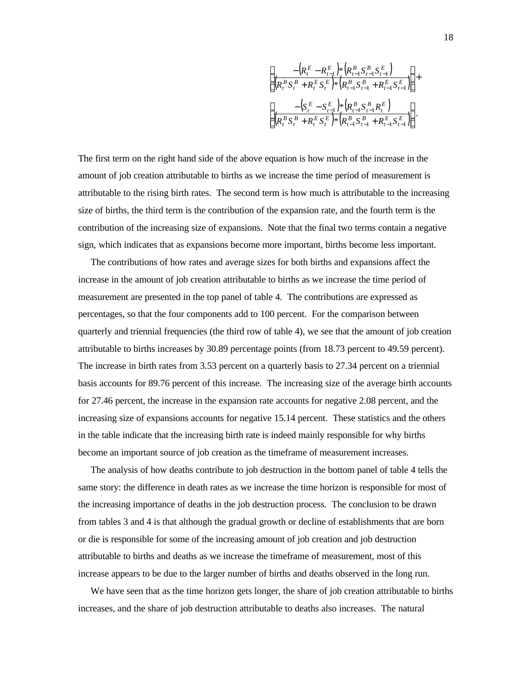$$
\begin{bmatrix}\n-\left(R_t^E - R_{t-1}^E\right) * \left(R_{t-1}^BS_{t-1}^BS_{t-1}^E\right) \\
\left[\overline{\left(R_t^BS_t^B + R_t^ES_t^E\right)} * \left(R_{t-1}^BS_{t-1}^B + R_{t-1}^ES_{t-1}^E\right)\right] + \\
\left[\overline{\left(R_t^BS_t^B + R_t^ES_t^E\right)} * \left(R_{t-1}^BS_{t-1}^BS_{t-1}^E\right) \\
\end{bmatrix}.
$$

The first term on the right hand side of the above equation is how much of the increase in the amount of job creation attributable to births as we increase the time period of measurement is attributable to the rising birth rates. The second term is how much is attributable to the increasing size of births, the third term is the contribution of the expansion rate, and the fourth term is the contribution of the increasing size of expansions. Note that the final two terms contain a negative sign, which indicates that as expansions become more important, births become less important.

 The contributions of how rates and average sizes for both births and expansions affect the increase in the amount of job creation attributable to births as we increase the time period of measurement are presented in the top panel of table 4. The contributions are expressed as percentages, so that the four components add to 100 percent. For the comparison between quarterly and triennial frequencies (the third row of table 4), we see that the amount of job creation attributable to births increases by 30.89 percentage points (from 18.73 percent to 49.59 percent). The increase in birth rates from 3.53 percent on a quarterly basis to 27.34 percent on a triennial basis accounts for 89.76 percent of this increase. The increasing size of the average birth accounts for 27.46 percent, the increase in the expansion rate accounts for negative 2.08 percent, and the increasing size of expansions accounts for negative 15.14 percent. These statistics and the others in the table indicate that the increasing birth rate is indeed mainly responsible for why births become an important source of job creation as the timeframe of measurement increases.

 The analysis of how deaths contribute to job destruction in the bottom panel of table 4 tells the same story: the difference in death rates as we increase the time horizon is responsible for most of the increasing importance of deaths in the job destruction process. The conclusion to be drawn from tables 3 and 4 is that although the gradual growth or decline of establishments that are born or die is responsible for some of the increasing amount of job creation and job destruction attributable to births and deaths as we increase the timeframe of measurement, most of this increase appears to be due to the larger number of births and deaths observed in the long run.

We have seen that as the time horizon gets longer, the share of job creation attributable to births increases, and the share of job destruction attributable to deaths also increases. The natural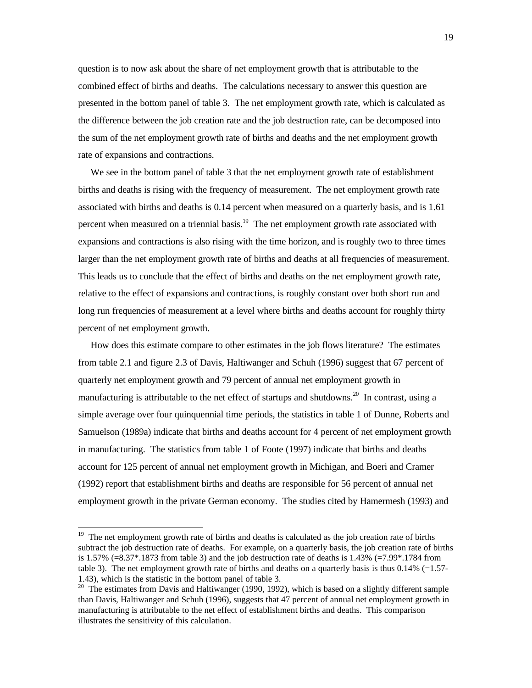question is to now ask about the share of net employment growth that is attributable to the combined effect of births and deaths. The calculations necessary to answer this question are presented in the bottom panel of table 3. The net employment growth rate, which is calculated as the difference between the job creation rate and the job destruction rate, can be decomposed into the sum of the net employment growth rate of births and deaths and the net employment growth rate of expansions and contractions.

 We see in the bottom panel of table 3 that the net employment growth rate of establishment births and deaths is rising with the frequency of measurement. The net employment growth rate associated with births and deaths is 0.14 percent when measured on a quarterly basis, and is 1.61 percent when measured on a triennial basis.<sup>19</sup> The net employment growth rate associated with expansions and contractions is also rising with the time horizon, and is roughly two to three times larger than the net employment growth rate of births and deaths at all frequencies of measurement. This leads us to conclude that the effect of births and deaths on the net employment growth rate, relative to the effect of expansions and contractions, is roughly constant over both short run and long run frequencies of measurement at a level where births and deaths account for roughly thirty percent of net employment growth.

 How does this estimate compare to other estimates in the job flows literature? The estimates from table 2.1 and figure 2.3 of Davis, Haltiwanger and Schuh (1996) suggest that 67 percent of quarterly net employment growth and 79 percent of annual net employment growth in manufacturing is attributable to the net effect of startups and shutdowns.<sup>20</sup> In contrast, using a simple average over four quinquennial time periods, the statistics in table 1 of Dunne, Roberts and Samuelson (1989a) indicate that births and deaths account for 4 percent of net employment growth in manufacturing. The statistics from table 1 of Foote (1997) indicate that births and deaths account for 125 percent of annual net employment growth in Michigan, and Boeri and Cramer (1992) report that establishment births and deaths are responsible for 56 percent of annual net employment growth in the private German economy. The studies cited by Hamermesh (1993) and

<u>.</u>

<sup>&</sup>lt;sup>19</sup> The net employment growth rate of births and deaths is calculated as the job creation rate of births subtract the job destruction rate of deaths. For example, on a quarterly basis, the job creation rate of births is 1.57% (=8.37\*.1873 from table 3) and the job destruction rate of deaths is 1.43% (=7.99\*.1784 from table 3). The net employment growth rate of births and deaths on a quarterly basis is thus  $0.14\%$  (=1.57-1.43), which is the statistic in the bottom panel of table 3.

 $20$  The estimates from Davis and Haltiwanger (1990, 1992), which is based on a slightly different sample than Davis, Haltiwanger and Schuh (1996), suggests that 47 percent of annual net employment growth in manufacturing is attributable to the net effect of establishment births and deaths. This comparison illustrates the sensitivity of this calculation.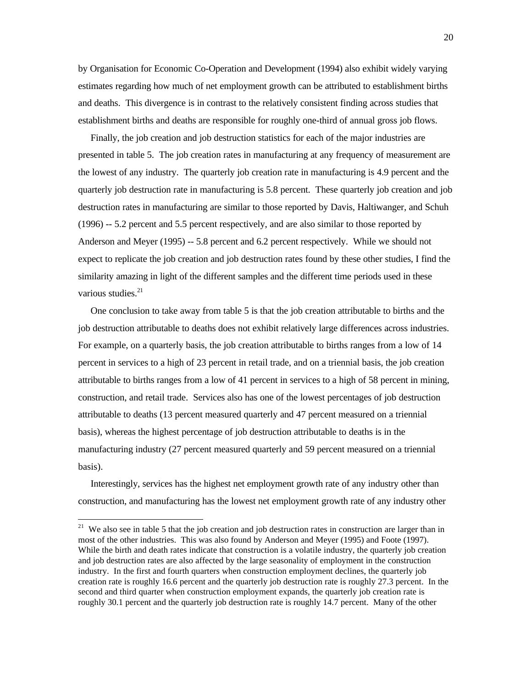by Organisation for Economic Co-Operation and Development (1994) also exhibit widely varying estimates regarding how much of net employment growth can be attributed to establishment births and deaths. This divergence is in contrast to the relatively consistent finding across studies that establishment births and deaths are responsible for roughly one-third of annual gross job flows.

 Finally, the job creation and job destruction statistics for each of the major industries are presented in table 5. The job creation rates in manufacturing at any frequency of measurement are the lowest of any industry. The quarterly job creation rate in manufacturing is 4.9 percent and the quarterly job destruction rate in manufacturing is 5.8 percent. These quarterly job creation and job destruction rates in manufacturing are similar to those reported by Davis, Haltiwanger, and Schuh (1996) -- 5.2 percent and 5.5 percent respectively, and are also similar to those reported by Anderson and Meyer (1995) -- 5.8 percent and 6.2 percent respectively. While we should not expect to replicate the job creation and job destruction rates found by these other studies, I find the similarity amazing in light of the different samples and the different time periods used in these various studies.<sup>21</sup>

 One conclusion to take away from table 5 is that the job creation attributable to births and the job destruction attributable to deaths does not exhibit relatively large differences across industries. For example, on a quarterly basis, the job creation attributable to births ranges from a low of 14 percent in services to a high of 23 percent in retail trade, and on a triennial basis, the job creation attributable to births ranges from a low of 41 percent in services to a high of 58 percent in mining, construction, and retail trade. Services also has one of the lowest percentages of job destruction attributable to deaths (13 percent measured quarterly and 47 percent measured on a triennial basis), whereas the highest percentage of job destruction attributable to deaths is in the manufacturing industry (27 percent measured quarterly and 59 percent measured on a triennial basis).

 Interestingly, services has the highest net employment growth rate of any industry other than construction, and manufacturing has the lowest net employment growth rate of any industry other

<sup>&</sup>lt;sup>21</sup> We also see in table 5 that the job creation and job destruction rates in construction are larger than in most of the other industries. This was also found by Anderson and Meyer (1995) and Foote (1997). While the birth and death rates indicate that construction is a volatile industry, the quarterly job creation and job destruction rates are also affected by the large seasonality of employment in the construction industry. In the first and fourth quarters when construction employment declines, the quarterly job creation rate is roughly 16.6 percent and the quarterly job destruction rate is roughly 27.3 percent. In the second and third quarter when construction employment expands, the quarterly job creation rate is roughly 30.1 percent and the quarterly job destruction rate is roughly 14.7 percent. Many of the other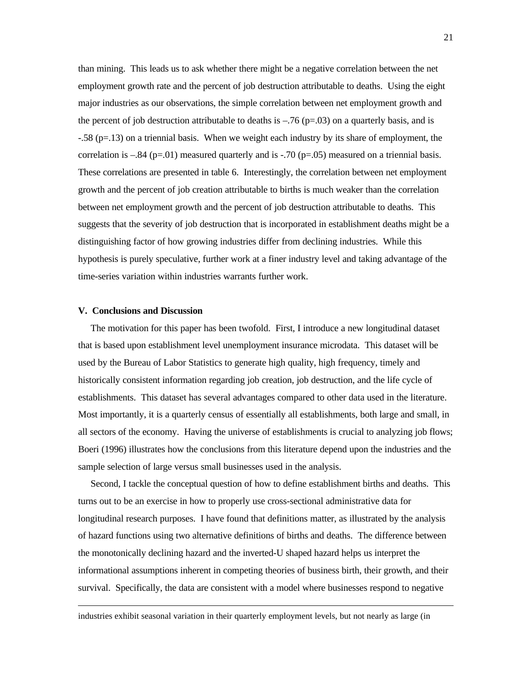than mining. This leads us to ask whether there might be a negative correlation between the net employment growth rate and the percent of job destruction attributable to deaths. Using the eight major industries as our observations, the simple correlation between net employment growth and the percent of job destruction attributable to deaths is  $-.76$  (p=.03) on a quarterly basis, and is -.58 (p=.13) on a triennial basis. When we weight each industry by its share of employment, the correlation is  $-.84$  (p=.01) measured quarterly and is  $-.70$  (p=.05) measured on a triennial basis. These correlations are presented in table 6. Interestingly, the correlation between net employment growth and the percent of job creation attributable to births is much weaker than the correlation between net employment growth and the percent of job destruction attributable to deaths. This suggests that the severity of job destruction that is incorporated in establishment deaths might be a distinguishing factor of how growing industries differ from declining industries. While this hypothesis is purely speculative, further work at a finer industry level and taking advantage of the time-series variation within industries warrants further work.

#### **V. Conclusions and Discussion**

 $\overline{a}$ 

 The motivation for this paper has been twofold. First, I introduce a new longitudinal dataset that is based upon establishment level unemployment insurance microdata. This dataset will be used by the Bureau of Labor Statistics to generate high quality, high frequency, timely and historically consistent information regarding job creation, job destruction, and the life cycle of establishments. This dataset has several advantages compared to other data used in the literature. Most importantly, it is a quarterly census of essentially all establishments, both large and small, in all sectors of the economy. Having the universe of establishments is crucial to analyzing job flows; Boeri (1996) illustrates how the conclusions from this literature depend upon the industries and the sample selection of large versus small businesses used in the analysis.

 Second, I tackle the conceptual question of how to define establishment births and deaths. This turns out to be an exercise in how to properly use cross-sectional administrative data for longitudinal research purposes. I have found that definitions matter, as illustrated by the analysis of hazard functions using two alternative definitions of births and deaths. The difference between the monotonically declining hazard and the inverted-U shaped hazard helps us interpret the informational assumptions inherent in competing theories of business birth, their growth, and their survival. Specifically, the data are consistent with a model where businesses respond to negative

industries exhibit seasonal variation in their quarterly employment levels, but not nearly as large (in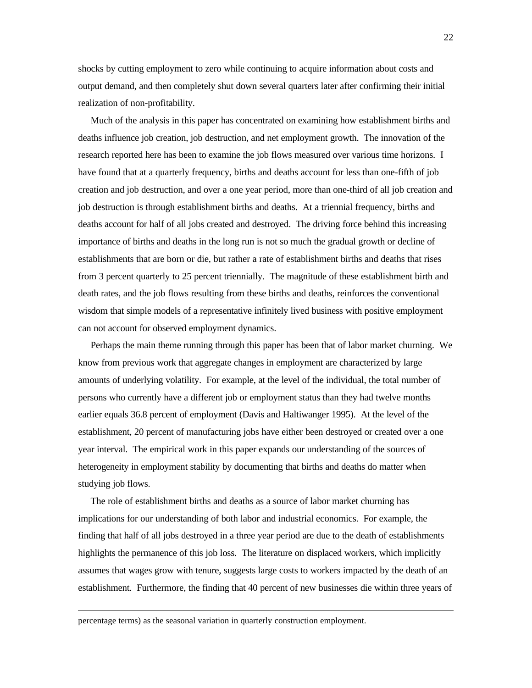shocks by cutting employment to zero while continuing to acquire information about costs and output demand, and then completely shut down several quarters later after confirming their initial realization of non-profitability.

 Much of the analysis in this paper has concentrated on examining how establishment births and deaths influence job creation, job destruction, and net employment growth. The innovation of the research reported here has been to examine the job flows measured over various time horizons. I have found that at a quarterly frequency, births and deaths account for less than one-fifth of job creation and job destruction, and over a one year period, more than one-third of all job creation and job destruction is through establishment births and deaths. At a triennial frequency, births and deaths account for half of all jobs created and destroyed. The driving force behind this increasing importance of births and deaths in the long run is not so much the gradual growth or decline of establishments that are born or die, but rather a rate of establishment births and deaths that rises from 3 percent quarterly to 25 percent triennially. The magnitude of these establishment birth and death rates, and the job flows resulting from these births and deaths, reinforces the conventional wisdom that simple models of a representative infinitely lived business with positive employment can not account for observed employment dynamics.

 Perhaps the main theme running through this paper has been that of labor market churning. We know from previous work that aggregate changes in employment are characterized by large amounts of underlying volatility. For example, at the level of the individual, the total number of persons who currently have a different job or employment status than they had twelve months earlier equals 36.8 percent of employment (Davis and Haltiwanger 1995). At the level of the establishment, 20 percent of manufacturing jobs have either been destroyed or created over a one year interval. The empirical work in this paper expands our understanding of the sources of heterogeneity in employment stability by documenting that births and deaths do matter when studying job flows.

 The role of establishment births and deaths as a source of labor market churning has implications for our understanding of both labor and industrial economics. For example, the finding that half of all jobs destroyed in a three year period are due to the death of establishments highlights the permanence of this job loss. The literature on displaced workers, which implicitly assumes that wages grow with tenure, suggests large costs to workers impacted by the death of an establishment. Furthermore, the finding that 40 percent of new businesses die within three years of

percentage terms) as the seasonal variation in quarterly construction employment.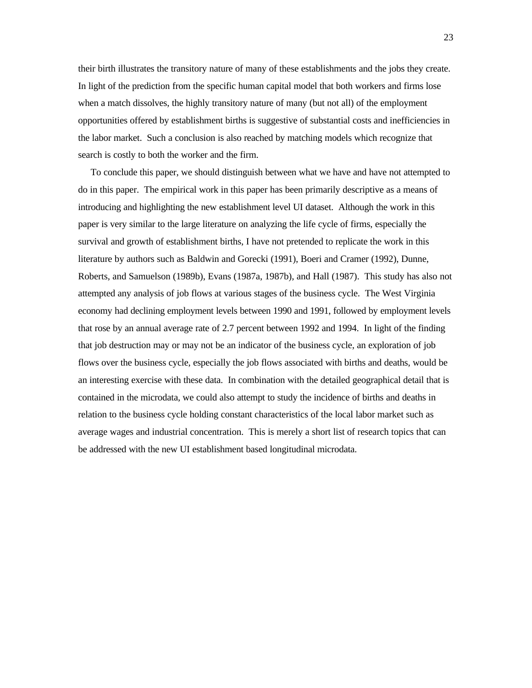their birth illustrates the transitory nature of many of these establishments and the jobs they create. In light of the prediction from the specific human capital model that both workers and firms lose when a match dissolves, the highly transitory nature of many (but not all) of the employment opportunities offered by establishment births is suggestive of substantial costs and inefficiencies in the labor market. Such a conclusion is also reached by matching models which recognize that search is costly to both the worker and the firm.

 To conclude this paper, we should distinguish between what we have and have not attempted to do in this paper. The empirical work in this paper has been primarily descriptive as a means of introducing and highlighting the new establishment level UI dataset. Although the work in this paper is very similar to the large literature on analyzing the life cycle of firms, especially the survival and growth of establishment births, I have not pretended to replicate the work in this literature by authors such as Baldwin and Gorecki (1991), Boeri and Cramer (1992), Dunne, Roberts, and Samuelson (1989b), Evans (1987a, 1987b), and Hall (1987). This study has also not attempted any analysis of job flows at various stages of the business cycle. The West Virginia economy had declining employment levels between 1990 and 1991, followed by employment levels that rose by an annual average rate of 2.7 percent between 1992 and 1994. In light of the finding that job destruction may or may not be an indicator of the business cycle, an exploration of job flows over the business cycle, especially the job flows associated with births and deaths, would be an interesting exercise with these data. In combination with the detailed geographical detail that is contained in the microdata, we could also attempt to study the incidence of births and deaths in relation to the business cycle holding constant characteristics of the local labor market such as average wages and industrial concentration. This is merely a short list of research topics that can be addressed with the new UI establishment based longitudinal microdata.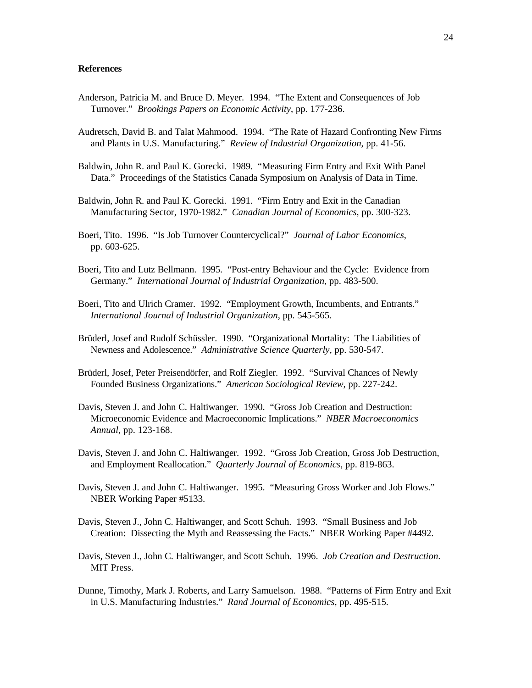#### **References**

- Anderson, Patricia M. and Bruce D. Meyer. 1994. "The Extent and Consequences of Job Turnover." *Brookings Papers on Economic Activity*, pp. 177-236.
- Audretsch, David B. and Talat Mahmood. 1994. "The Rate of Hazard Confronting New Firms and Plants in U.S. Manufacturing." *Review of Industrial Organization*, pp. 41-56.
- Baldwin, John R. and Paul K. Gorecki. 1989. "Measuring Firm Entry and Exit With Panel Data." Proceedings of the Statistics Canada Symposium on Analysis of Data in Time.
- Baldwin, John R. and Paul K. Gorecki. 1991. "Firm Entry and Exit in the Canadian Manufacturing Sector, 1970-1982." *Canadian Journal of Economics*, pp. 300-323.
- Boeri, Tito. 1996. "Is Job Turnover Countercyclical?" *Journal of Labor Economics*, pp. 603-625.
- Boeri, Tito and Lutz Bellmann. 1995. "Post-entry Behaviour and the Cycle: Evidence from Germany." *International Journal of Industrial Organization*, pp. 483-500.
- Boeri, Tito and Ulrich Cramer. 1992. "Employment Growth, Incumbents, and Entrants." *International Journal of Industrial Organization*, pp. 545-565.
- Brüderl, Josef and Rudolf Schüssler. 1990. "Organizational Mortality: The Liabilities of Newness and Adolescence." *Administrative Science Quarterly*, pp. 530-547.
- Brüderl, Josef, Peter Preisendörfer, and Rolf Ziegler. 1992. "Survival Chances of Newly Founded Business Organizations." *American Sociological Review*, pp. 227-242.
- Davis, Steven J. and John C. Haltiwanger. 1990. "Gross Job Creation and Destruction: Microeconomic Evidence and Macroeconomic Implications." *NBER Macroeconomics Annual*, pp. 123-168.
- Davis, Steven J. and John C. Haltiwanger. 1992. "Gross Job Creation, Gross Job Destruction, and Employment Reallocation." *Quarterly Journal of Economics*, pp. 819-863.
- Davis, Steven J. and John C. Haltiwanger. 1995. "Measuring Gross Worker and Job Flows." NBER Working Paper #5133.
- Davis, Steven J., John C. Haltiwanger, and Scott Schuh. 1993. "Small Business and Job Creation: Dissecting the Myth and Reassessing the Facts." NBER Working Paper #4492.
- Davis, Steven J., John C. Haltiwanger, and Scott Schuh. 1996. *Job Creation and Destruction*. MIT Press.
- Dunne, Timothy, Mark J. Roberts, and Larry Samuelson. 1988. "Patterns of Firm Entry and Exit in U.S. Manufacturing Industries." *Rand Journal of Economics*, pp. 495-515.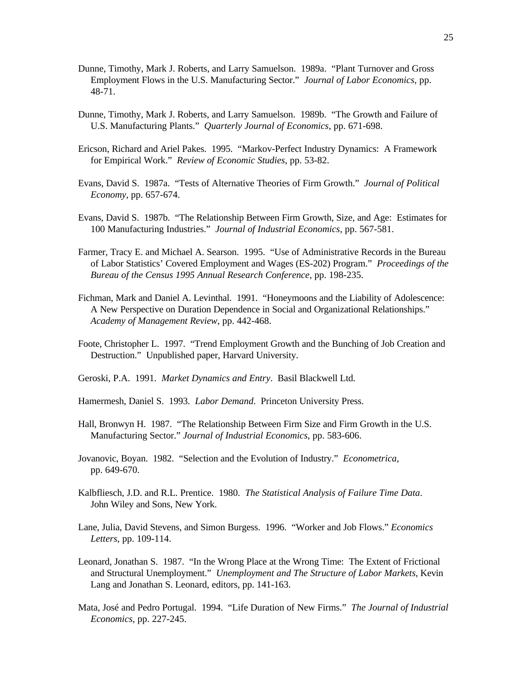- Dunne, Timothy, Mark J. Roberts, and Larry Samuelson. 1989a. "Plant Turnover and Gross Employment Flows in the U.S. Manufacturing Sector." *Journal of Labor Economics*, pp. 48-71.
- Dunne, Timothy, Mark J. Roberts, and Larry Samuelson. 1989b. "The Growth and Failure of U.S. Manufacturing Plants." *Quarterly Journal of Economics*, pp. 671-698.
- Ericson, Richard and Ariel Pakes. 1995. "Markov-Perfect Industry Dynamics: A Framework for Empirical Work." *Review of Economic Studies*, pp. 53-82.
- Evans, David S. 1987a. "Tests of Alternative Theories of Firm Growth." *Journal of Political Economy*, pp. 657-674.
- Evans, David S. 1987b. "The Relationship Between Firm Growth, Size, and Age: Estimates for 100 Manufacturing Industries." *Journal of Industrial Economics*, pp. 567-581.
- Farmer, Tracy E. and Michael A. Searson. 1995. "Use of Administrative Records in the Bureau of Labor Statistics' Covered Employment and Wages (ES-202) Program." *Proceedings of the Bureau of the Census 1995 Annual Research Conference*, pp. 198-235.
- Fichman, Mark and Daniel A. Levinthal. 1991. "Honeymoons and the Liability of Adolescence: A New Perspective on Duration Dependence in Social and Organizational Relationships." *Academy of Management Review*, pp. 442-468.
- Foote, Christopher L. 1997. "Trend Employment Growth and the Bunching of Job Creation and Destruction." Unpublished paper, Harvard University.
- Geroski, P.A. 1991. *Market Dynamics and Entry*. Basil Blackwell Ltd.
- Hamermesh, Daniel S. 1993. *Labor Demand*. Princeton University Press.
- Hall, Bronwyn H. 1987. "The Relationship Between Firm Size and Firm Growth in the U.S. Manufacturing Sector." *Journal of Industrial Economics*, pp. 583-606.
- Jovanovic, Boyan. 1982. "Selection and the Evolution of Industry." *Econometrica*, pp. 649-670.
- Kalbfliesch, J.D. and R.L. Prentice. 1980. *The Statistical Analysis of Failure Time Data*. John Wiley and Sons, New York.
- Lane, Julia, David Stevens, and Simon Burgess. 1996. "Worker and Job Flows." *Economics Letters*, pp. 109-114.
- Leonard, Jonathan S. 1987. "In the Wrong Place at the Wrong Time: The Extent of Frictional and Structural Unemployment." *Unemployment and The Structure of Labor Markets*, Kevin Lang and Jonathan S. Leonard, editors, pp. 141-163.
- Mata, José and Pedro Portugal. 1994. "Life Duration of New Firms." *The Journal of Industrial Economics*, pp. 227-245.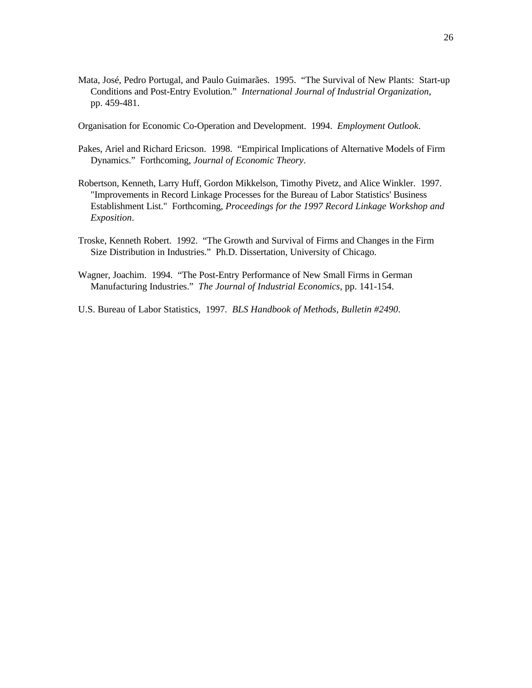Mata, José, Pedro Portugal, and Paulo Guimarães. 1995. "The Survival of New Plants: Start-up Conditions and Post-Entry Evolution." *International Journal of Industrial Organization*, pp. 459-481.

Organisation for Economic Co-Operation and Development. 1994. *Employment Outlook*.

- Pakes, Ariel and Richard Ericson. 1998. "Empirical Implications of Alternative Models of Firm Dynamics." Forthcoming, *Journal of Economic Theory*.
- Robertson, Kenneth, Larry Huff, Gordon Mikkelson, Timothy Pivetz, and Alice Winkler. 1997. "Improvements in Record Linkage Processes for the Bureau of Labor Statistics' Business Establishment List." Forthcoming, *Proceedings for the 1997 Record Linkage Workshop and Exposition*.
- Troske, Kenneth Robert. 1992. "The Growth and Survival of Firms and Changes in the Firm Size Distribution in Industries." Ph.D. Dissertation, University of Chicago.
- Wagner, Joachim. 1994. "The Post-Entry Performance of New Small Firms in German Manufacturing Industries." *The Journal of Industrial Economics*, pp. 141-154.
- U.S. Bureau of Labor Statistics, 1997. *BLS Handbook of Methods, Bulletin #2490*.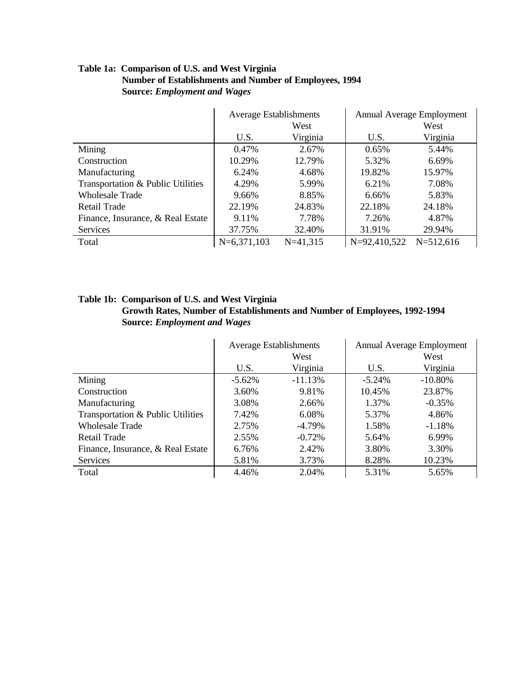|                                   | <b>Average Establishments</b> |            | Annual Average Employment |               |  |  |
|-----------------------------------|-------------------------------|------------|---------------------------|---------------|--|--|
|                                   |                               | West       |                           | West          |  |  |
|                                   | U.S.                          | Virginia   | U.S.                      | Virginia      |  |  |
| Mining                            | 0.47%                         | 2.67%      | 0.65%                     | 5.44%         |  |  |
| Construction                      | 10.29%                        | 12.79%     | 5.32%                     | 6.69%         |  |  |
| Manufacturing                     | 6.24%                         | 4.68%      | 19.82%                    | 15.97%        |  |  |
| Transportation & Public Utilities | 4.29%                         | 5.99%      | 6.21%                     | 7.08%         |  |  |
| <b>Wholesale Trade</b>            | 9.66%                         | 8.85%      | 6.66%                     | 5.83%         |  |  |
| Retail Trade                      | 22.19%                        | 24.83%     | 22.18%                    | 24.18%        |  |  |
| Finance, Insurance, & Real Estate | 9.11%                         | 7.78%      | 7.26%                     | 4.87%         |  |  |
| Services                          | 37.75%                        | 32.40%     | 31.91%                    | 29.94%        |  |  |
| Total                             | $N=6,371,103$                 | $N=41,315$ | $N=92,410,522$            | $N = 512,616$ |  |  |

## **Table 1a: Comparison of U.S. and West Virginia Number of Establishments and Number of Employees, 1994 Source:** *Employment and Wages*

## **Table 1b: Comparison of U.S. and West Virginia Growth Rates, Number of Establishments and Number of Employees, 1992-1994 Source:** *Employment and Wages*

|                                   | <b>Average Establishments</b> |           | Annual Average Employment |           |  |
|-----------------------------------|-------------------------------|-----------|---------------------------|-----------|--|
|                                   |                               | West      |                           | West      |  |
|                                   | U.S.                          | Virginia  | U.S.                      | Virginia  |  |
| Mining                            | $-5.62\%$                     | $-11.13%$ | $-5.24%$                  | $-10.80%$ |  |
| Construction                      | 3.60%                         | 9.81%     | 10.45%                    | 23.87%    |  |
| Manufacturing                     | 3.08%                         | 2.66%     | 1.37%                     | $-0.35%$  |  |
| Transportation & Public Utilities | 7.42%                         | 6.08%     | 5.37%                     | 4.86%     |  |
| <b>Wholesale Trade</b>            | 2.75%                         | $-4.79\%$ | 1.58%                     | $-1.18%$  |  |
| Retail Trade                      | 2.55%                         | $-0.72%$  | 5.64%                     | 6.99%     |  |
| Finance, Insurance, & Real Estate | 6.76%                         | 2.42%     | 3.80%                     | 3.30%     |  |
| <b>Services</b>                   | 5.81%                         | 3.73%     | 8.28%                     | 10.23%    |  |
| Total                             | 4.46%                         | 2.04%     | 5.31%                     | 5.65%     |  |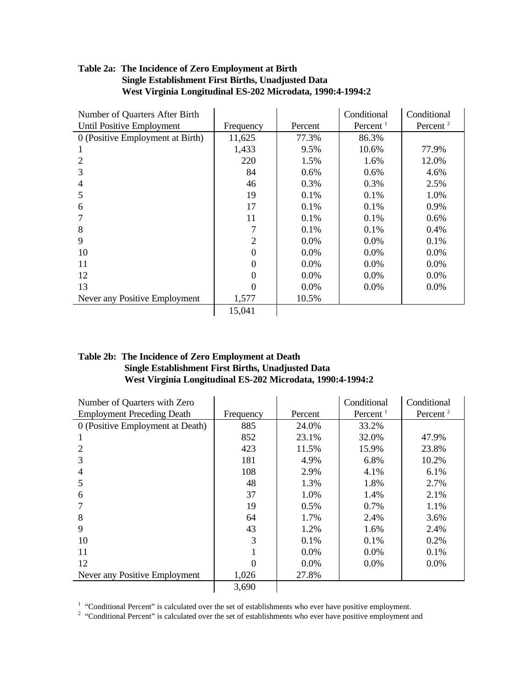| Number of Quarters After Birth   |                |         | Conditional | Conditional          |
|----------------------------------|----------------|---------|-------------|----------------------|
| Until Positive Employment        | Frequency      | Percent | Percent $1$ | Percent <sup>2</sup> |
| 0 (Positive Employment at Birth) | 11,625         | 77.3%   | 86.3%       |                      |
|                                  | 1,433          | 9.5%    | 10.6%       | 77.9%                |
| $\overline{2}$                   | 220            | 1.5%    | 1.6%        | 12.0%                |
| 3                                | 84             | 0.6%    | 0.6%        | 4.6%                 |
| $\overline{4}$                   | 46             | 0.3%    | 0.3%        | 2.5%                 |
| 5                                | 19             | 0.1%    | 0.1%        | 1.0%                 |
| 6                                | 17             | 0.1%    | 0.1%        | 0.9%                 |
|                                  | 11             | 0.1%    | 0.1%        | 0.6%                 |
| 8                                | 7              | 0.1%    | $0.1\%$     | 0.4%                 |
| 9                                | 2              | $0.0\%$ | $0.0\%$     | 0.1%                 |
| 10                               | $\overline{0}$ | $0.0\%$ | $0.0\%$     | $0.0\%$              |
| 11                               | $\theta$       | $0.0\%$ | $0.0\%$     | $0.0\%$              |
| 12                               | $\theta$       | $0.0\%$ | $0.0\%$     | $0.0\%$              |
| 13                               | $\theta$       | $0.0\%$ | $0.0\%$     | $0.0\%$              |
| Never any Positive Employment    | 1,577          | 10.5%   |             |                      |
|                                  | 15,041         |         |             |                      |

## **Table 2a: The Incidence of Zero Employment at Birth Single Establishment First Births, Unadjusted Data West Virginia Longitudinal ES-202 Microdata, 1990:4-1994:2**

### **Table 2b: The Incidence of Zero Employment at Death Single Establishment First Births, Unadjusted Data West Virginia Longitudinal ES-202 Microdata, 1990:4-1994:2**

| Number of Quarters with Zero      |           |         | Conditional | Conditional          |
|-----------------------------------|-----------|---------|-------------|----------------------|
| <b>Employment Preceding Death</b> | Frequency | Percent | Percent $1$ | Percent <sup>2</sup> |
| 0 (Positive Employment at Death)  | 885       | 24.0%   | 33.2%       |                      |
|                                   | 852       | 23.1%   | 32.0%       | 47.9%                |
| 2                                 | 423       | 11.5%   | 15.9%       | 23.8%                |
| 3                                 | 181       | 4.9%    | 6.8%        | 10.2%                |
|                                   | 108       | 2.9%    | 4.1%        | 6.1%                 |
| 5                                 | 48        | 1.3%    | 1.8%        | 2.7%                 |
| 6                                 | 37        | 1.0%    | 1.4%        | 2.1%                 |
|                                   | 19        | 0.5%    | 0.7%        | 1.1%                 |
| 8                                 | 64        | 1.7%    | 2.4%        | 3.6%                 |
| 9                                 | 43        | 1.2%    | 1.6%        | 2.4%                 |
| 10                                | 3         | 0.1%    | 0.1%        | 0.2%                 |
| 11                                |           | 0.0%    | 0.0%        | 0.1%                 |
| 12                                | 0         | 0.0%    | 0.0%        | 0.0%                 |
| Never any Positive Employment     | 1,026     | 27.8%   |             |                      |
|                                   | 3,690     |         |             |                      |

 $1$  "Conditional Percent" is calculated over the set of establishments who ever have positive employment.

<sup>2</sup> "Conditional Percent" is calculated over the set of establishments who ever have positive employment and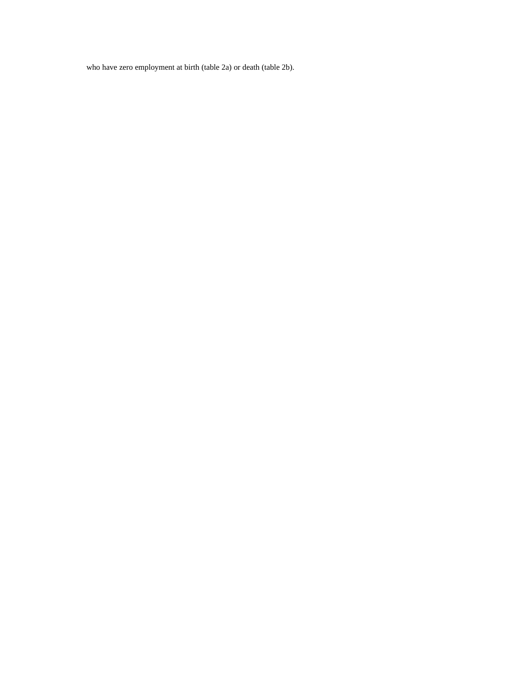who have zero employment at birth (table 2a) or death (table 2b).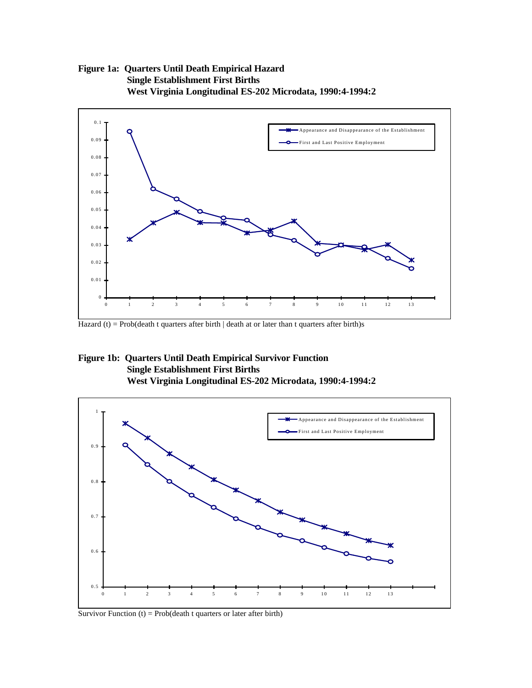## **Figure 1a: Quarters Until Death Empirical Hazard Single Establishment First Births West Virginia Longitudinal ES-202 Microdata, 1990:4-1994:2**



Hazard (t) = Prob(death t quarters after birth  $\vert$  death at or later than t quarters after birth)s

### **Figure 1b: Quarters Until Death Empirical Survivor Function Single Establishment First Births West Virginia Longitudinal ES-202 Microdata, 1990:4-1994:2**



Survivor Function  $(t) = Prob(death t quarters or later after birth)$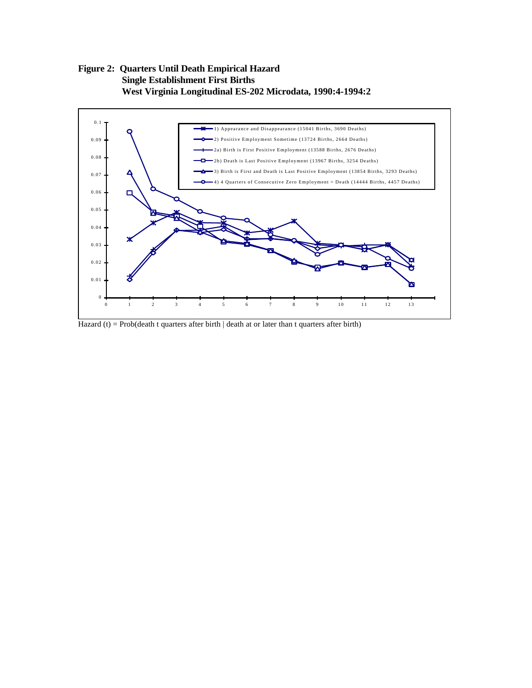## **Figure 2: Quarters Until Death Empirical Hazard Single Establishment First Births West Virginia Longitudinal ES-202 Microdata, 1990:4-1994:2**



Hazard (t) = Prob(death t quarters after birth  $\vert$  death at or later than t quarters after birth)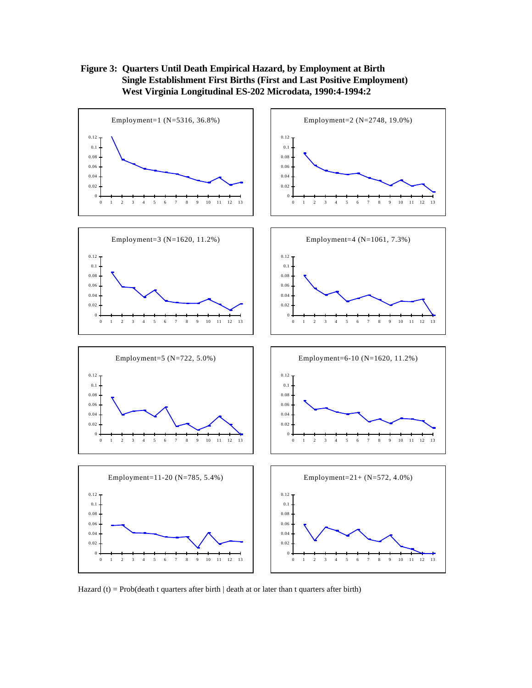



Hazard (t) = Prob(death t quarters after birth  $\vert$  death at or later than t quarters after birth)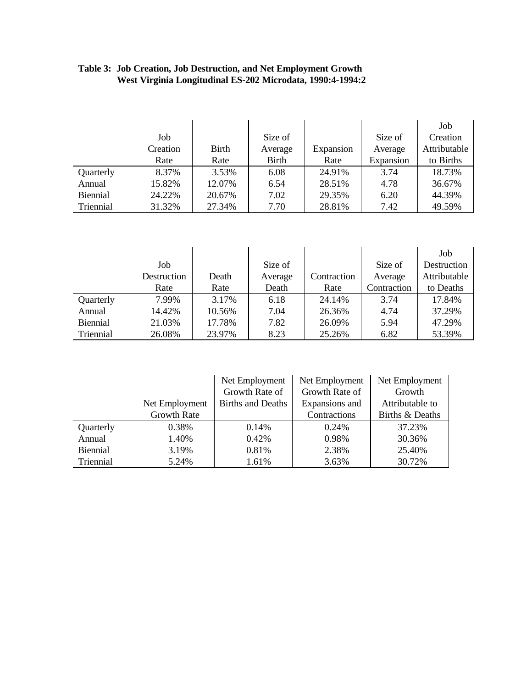|                 |          |              |              |           |           | Job          |
|-----------------|----------|--------------|--------------|-----------|-----------|--------------|
|                 | Job      |              | Size of      |           | Size of   | Creation     |
|                 | Creation | <b>Birth</b> | Average      | Expansion | Average   | Attributable |
|                 | Rate     | Rate         | <b>Birth</b> | Rate      | Expansion | to Births    |
| Quarterly       | 8.37%    | 3.53%        | 6.08         | 24.91%    | 3.74      | 18.73%       |
| Annual          | 15.82%   | 12.07%       | 6.54         | 28.51%    | 4.78      | 36.67%       |
| <b>Biennial</b> | 24.22%   | 20.67%       | 7.02         | 29.35%    | 6.20      | 44.39%       |
| Triennial       | 31.32%   | 27.34%       | 7.70         | 28.81%    | 7.42      | 49.59%       |

# **Table 3: Job Creation, Job Destruction, and Net Employment Growth West Virginia Longitudinal ES-202 Microdata, 1990:4-1994:2**

|                 |             |        |         |             |             | Job          |
|-----------------|-------------|--------|---------|-------------|-------------|--------------|
|                 | Job         |        | Size of |             | Size of     | Destruction  |
|                 | Destruction | Death  | Average | Contraction | Average     | Attributable |
|                 | Rate        | Rate   | Death   | Rate        | Contraction | to Deaths    |
| Quarterly       | 7.99%       | 3.17%  | 6.18    | 24.14%      | 3.74        | 17.84%       |
| Annual          | 14.42%      | 10.56% | 7.04    | 26.36%      | 4.74        | 37.29%       |
| <b>Biennial</b> | 21.03%      | 17.78% | 7.82    | 26.09%      | 5.94        | 47.29%       |
| Triennial       | 26.08%      | 23.97% | 8.23    | 25.26%      | 6.82        | 53.39%       |

|                 |                    | Net Employment           | Net Employment | Net Employment  |
|-----------------|--------------------|--------------------------|----------------|-----------------|
|                 |                    | Growth Rate of           | Growth Rate of | Growth          |
|                 | Net Employment     | <b>Births and Deaths</b> | Expansions and | Attributable to |
|                 | <b>Growth Rate</b> |                          | Contractions   | Births & Deaths |
| Quarterly       | 0.38%              | 0.14%                    | 0.24%          | 37.23%          |
| Annual          | 1.40%              | 0.42%                    | 0.98%          | 30.36%          |
| <b>Biennial</b> | 3.19%              | 0.81%                    | 2.38%          | 25.40%          |
| Triennial       | 5.24%              | 1.61%                    | 3.63%          | 30.72%          |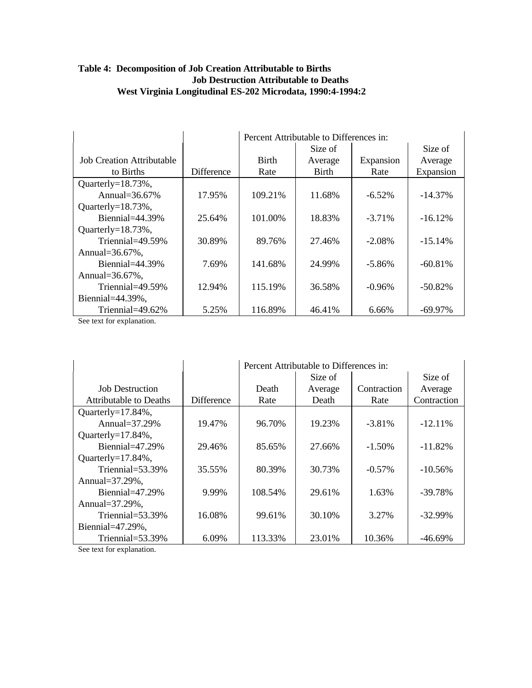# **Table 4: Decomposition of Job Creation Attributable to Births Job Destruction Attributable to Deaths West Virginia Longitudinal ES-202 Microdata, 1990:4-1994:2**

|                                  |            |              | Percent Attributable to Differences in: |           |            |
|----------------------------------|------------|--------------|-----------------------------------------|-----------|------------|
|                                  |            |              | Size of                                 |           | Size of    |
| <b>Job Creation Attributable</b> |            | <b>Birth</b> | Average                                 | Expansion | Average    |
| to Births                        | Difference | Rate         | <b>Birth</b>                            | Rate      | Expansion  |
| Quarterly= $18.73\%$ ,           |            |              |                                         |           |            |
| Annual= $36.67\%$                | 17.95%     | 109.21%      | 11.68%                                  | $-6.52\%$ | $-14.37\%$ |
| Quarterly= $18.73\%$ ,           |            |              |                                         |           |            |
| Biennial $=44.39\%$              | 25.64%     | 101.00%      | 18.83%                                  | $-3.71\%$ | $-16.12%$  |
| Quarterly= $18.73\%$ ,           |            |              |                                         |           |            |
| Triennial=49.59%                 | 30.89%     | 89.76%       | 27.46%                                  | $-2.08\%$ | $-15.14\%$ |
| Annual= $36.67\%$ ,              |            |              |                                         |           |            |
| Biennial= $44.39\%$              | 7.69%      | 141.68%      | 24.99%                                  | $-5.86\%$ | $-60.81%$  |
| Annual=36.67%,                   |            |              |                                         |           |            |
| Triennial= $49.59\%$             | 12.94%     | 115.19%      | 36.58%                                  | $-0.96\%$ | $-50.82\%$ |
| Biennial= $44.39\%$ ,            |            |              |                                         |           |            |
| Triennial=49.62%                 | 5.25%      | 116.89%      | 46.41%                                  | 6.66%     | $-69.97\%$ |

See text for explanation.

|                               |                   |         | Percent Attributable to Differences in: |             |             |
|-------------------------------|-------------------|---------|-----------------------------------------|-------------|-------------|
|                               |                   |         | Size of                                 |             | Size of     |
| <b>Job Destruction</b>        |                   | Death   | Average                                 | Contraction | Average     |
| <b>Attributable to Deaths</b> | <b>Difference</b> | Rate    | Death                                   | Rate        | Contraction |
| Quarterly= $17.84\%$ ,        |                   |         |                                         |             |             |
| Annual= $37.29\%$             | 19.47%            | 96.70%  | 19.23%                                  | $-3.81\%$   | $-12.11\%$  |
| Quarterly= $17.84\%$ ,        |                   |         |                                         |             |             |
| Biennial $=47.29\%$           | 29.46%            | 85.65%  | 27.66%                                  | $-1.50\%$   | $-11.82\%$  |
| Quarterly= $17.84\%$ ,        |                   |         |                                         |             |             |
| Triennial= $53.39\%$          | 35.55%            | 80.39%  | 30.73%                                  | $-0.57\%$   | $-10.56\%$  |
| Annual=37.29%,                |                   |         |                                         |             |             |
| Biennial= $47.29\%$           | 9.99%             | 108.54% | 29.61%                                  | 1.63%       | $-39.78%$   |
| Annual=37.29%,                |                   |         |                                         |             |             |
| Triennial= $53.39\%$          | 16.08%            | 99.61%  | 30.10%                                  | 3.27%       | $-32.99\%$  |
| Biennial= $47.29\%$ ,         |                   |         |                                         |             |             |
| Triennial=53.39%              | 6.09%             | 113.33% | 23.01%                                  | 10.36%      | $-46.69%$   |

See text for explanation.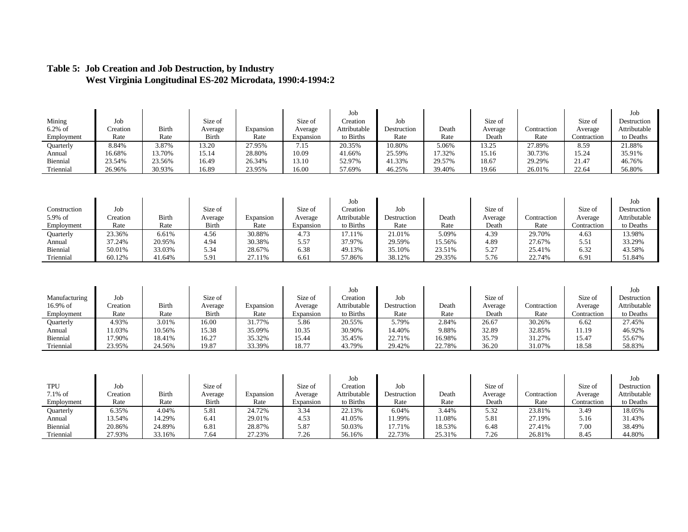| Mining<br>$6.2\%$ of<br>Employment | Job<br>Creation<br>Rate | Birth<br>Rate | Size of<br>Average<br><b>Birth</b> | Expansion<br>Rate | Size of<br>Average<br>Expansion | Job<br>Creation<br>Attributable<br>to Births | Job<br>Destruction<br>Rate | Death<br>Rate | Size of<br>Average<br>Death | Contraction<br>Rate | Size of<br>Average<br>Contraction | Job<br>Destruction<br>Attributable<br>to Deaths |
|------------------------------------|-------------------------|---------------|------------------------------------|-------------------|---------------------------------|----------------------------------------------|----------------------------|---------------|-----------------------------|---------------------|-----------------------------------|-------------------------------------------------|
| Quarterly                          | 8.84%                   | 3.87%         | 13.20                              | 27.95%            | 7.15                            | 20.35%                                       | 10.80%                     | 5.06%         | 13.25                       | 27.89%              | 8.59                              | 21.88%                                          |
| Annual                             | 16.68%                  | 13.70%        | 15.14                              | 28.80%            | 10.09                           | 41.66%                                       | 25.59%                     | 17.32%        | 15.16                       | 30.73%              | 15.24                             | 35.91%                                          |
| Biennial                           | 23.54%                  | 23.56%        | 16.49                              | 26.34%            | 13.10                           | 52.97%                                       | 41.33%                     | 29.57%        | 18.67                       | 29.29%              | 21.47                             | 46.76%                                          |
| Triennial                          | 26.96%                  | 30.93%        | 16.89                              | 23.95%            | 16.00                           | 57.69%                                       | 46.25%                     | 39.40%        | 19.66                       | 26.01%              | 22.64                             | 56.80%                                          |
|                                    |                         |               |                                    |                   |                                 |                                              |                            |               |                             |                     |                                   |                                                 |
|                                    |                         |               |                                    |                   |                                 | Job                                          |                            |               |                             |                     |                                   | Job                                             |
| Construction                       | Job                     |               | Size of                            |                   | Size of                         | Creation                                     | Job                        |               | Size of                     |                     | Size of                           | Destruction                                     |
| 5.9% of                            | Creation                | <b>Birth</b>  | Average                            | Expansion         | Average                         | Attributable                                 | Destruction                | Death         | Average                     | Contraction         | Average                           | Attributable                                    |
| Employment                         | Rate                    | Rate          | <b>Birth</b>                       | Rate              | Expansion                       | to Births                                    | Rate                       | Rate          | Death                       | Rate                | Contraction                       | to Deaths                                       |
| Quarterly                          | 23.36%                  | 6.61%         | 4.56                               | 30.88%            | 4.73                            | 17.11%                                       | 21.01%                     | 5.09%         | 4.39                        | 29.70%              | 4.63                              | 13.98%                                          |
| Annual                             | 37.24%                  | 20.95%        | 4.94                               | 30.38%            | 5.57                            | 37.97%                                       | 29.59%                     | 15.56%        | 4.89                        | 27.67%              | 5.51                              | 33.29%                                          |
| Biennial                           | 50.01%                  | 33.03%        | 5.34                               | 28.67%            | 6.38                            | 49.13%                                       | 35.10%                     | 23.51%        | 5.27                        | 25.41%              | 6.32                              | 43.58%                                          |
| Triennial                          | 60.12%                  | 41.64%        | 5.91                               | 27.11%            | 6.61                            | 57.86%                                       | 38.12%                     | 29.35%        | 5.76                        | 22.74%              | 6.91                              | 51.84%                                          |
|                                    |                         |               |                                    |                   |                                 |                                              |                            |               |                             |                     |                                   |                                                 |
|                                    |                         |               |                                    |                   |                                 | Job                                          |                            |               |                             |                     |                                   | Job                                             |
| Manufacturing                      | Job                     |               | Size of                            |                   | Size of                         | Creation                                     | Job                        |               | Size of                     |                     | Size of                           | Destruction                                     |
| 16.9% of                           | Creation                | Birth         | Average                            | Expansion         | Average                         | Attributable                                 | Destruction                | Death         | Average                     | Contraction         | Average                           | Attributable                                    |
| Employment                         | Rate                    | Rate          | <b>Birth</b>                       | Rate              | Expansion                       | to Births                                    | Rate                       | Rate          | Death                       | Rate                | Contraction                       | to Deaths                                       |
| Quarterly                          | 4.93%                   | 3.01%         | 16.00                              | 31.77%            | 5.86                            | 20.55%                                       | 5.79%                      | 2.84%         | 26.67                       | 30.26%              | 6.62                              | 27.45%                                          |
| Annual                             | 11.03%                  | 10.56%        | 15.38                              | 35.09%            | 10.35                           | 30.90%                                       | 14.40%                     | 9.88%         | 32.89                       | 32.85%              | 11.19                             | 46.92%                                          |
| Biennial                           | 17.90%                  | 18.41%        | 16.27                              | 35.32%            | 15.44                           | 35.45%                                       | 22.71%                     | 16.98%        | 35.79                       | 31.27%              | 15.47                             | 55.67%                                          |
| Triennial                          | 23.95%                  | 24.56%        | 19.87                              | 33.39%            | 18.77                           | 43.79%                                       | 29.42%                     | 22.78%        | 36.20                       | 31.07%              | 18.58                             | 58.83%                                          |
|                                    |                         |               |                                    |                   |                                 |                                              |                            |               |                             |                     |                                   |                                                 |
|                                    |                         |               |                                    |                   |                                 | Job                                          |                            |               |                             |                     |                                   | Job                                             |
| TPU                                | Job                     |               | Size of                            |                   | Size of                         | Creation                                     | Job                        |               | Size of                     |                     | Size of                           | Destruction                                     |
| $7.1\%$ of                         | Creation                | <b>Birth</b>  | Average                            | Expansion         | Average                         | Attributable                                 | Destruction                | Death         | Average                     | Contraction         | Average                           | Attributable                                    |
| Employment                         | Rate                    | Rate          | <b>Birth</b>                       | Rate              | Expansion                       | to Births                                    | Rate                       | Rate          | Death                       | Rate                | Contraction                       | to Deaths                                       |

Quarterly 6.35% 4.04% 5.81 24.72% 3.34 22.13% 6.04% 3.44% 5.32 23.81% 3.49 18.05% Annual 13.54% 14.29% 6.41 29.01% 4.53 41.05% 11.99% 11.08% 5.81 27.19% 5.16 31.43% Biennial 20.86% 24.89% 6.81 28.87% 5.87 50.03% 17.71% 18.53% 6.48 27.41% 7.00 38.49% Triennial 27.93% 33.16% 7.64 27.23% 7.26 56.16% 22.73% 25.31% 7.26 26.81% 8.45 44.80%

# **Table 5: Job Creation and Job Destruction, by Industry West Virginia Longitudinal ES-202 Microdata, 1990:4-1994:2**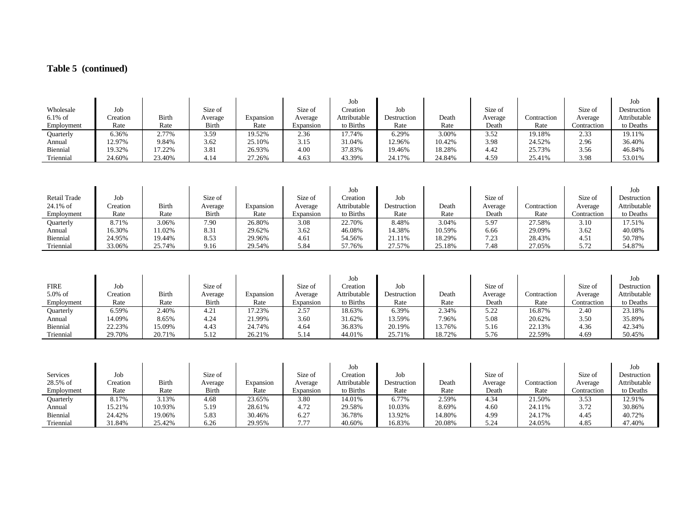# **Table 5 (continued)**

|            |                 |        |         |           |           | Job          |             |        |         |             |             | Job          |
|------------|-----------------|--------|---------|-----------|-----------|--------------|-------------|--------|---------|-------------|-------------|--------------|
| Wholesale  | Job             |        | Size of |           | Size of   | Creation     | Job         |        | Size of |             | Size of     | Destruction  |
| $6.1\%$ of | <b>Treation</b> | Birth  | Average | Expansion | Average   | Attributable | Destruction | Death  | Average | Contraction | Average     | Attributable |
| Employment | Rate            | Rate   | Birth   | Rate      | Expansion | to Births    | Rate        | Rate   | Death   | Rate        | Contraction | to Deaths    |
| Ouarterly  | 6.36%           | 2.77%  | 3.59    | 19.52%    | 2.36      | 7.74%        | 6.29%       | 3.00%  | 3.52    | 19.18%      | 2.33        | 19.11%       |
| Annual     | 12.97%          | 9.84%  | 3.62    | 25.10%    | 3.15      | 31.04%       | 2.96%       | 10.42% | 3.98    | 24.52%      | 2.96        | 36.40%       |
| Biennial   | 19.32%          | 17.22% | 3.81    | 26.93%    | 4.00      | 37.83%       | 19.46%      | 18.28% | 4.42    | 25.73%      | 3.56        | 46.84%       |
| Triennial  | 24.60%          | 23.40% | 4.14    | 27.26%    | 4.63      | 43.39%       | 24.17%      | 24.84% | 4.59    | 25.41%      | 3.98        | 53.01%       |

|              |          |              |         |           |           | Job          |             |        |                |             |             | Job          |
|--------------|----------|--------------|---------|-----------|-----------|--------------|-------------|--------|----------------|-------------|-------------|--------------|
| Retail Trade | Job      |              | Size of |           | Size of   | Creation     | Job         |        | Size of        |             | Size of     | Destruction  |
| 24.1% of     | Creation | <b>Birth</b> | Average | Expansion | Average   | Attributable | Destruction | Death  | Average        | Contraction | Average     | Attributable |
| Employment   | Rate     | Rate         | Birth   | Rate      | Expansion | to Births    | Rate        | Rate   | Death          | Rate        | Contraction | to Deaths    |
| Ouarterly    | 8.71%    | 3.06%        | 7.90    | 26.80%    | 3.08      | 22.70%       | 8.48%       | 3.04%  | 5.97           | 27.58%      | 3.10        | 17.51%       |
| Annual       | 16.30%   | 1.02%        | 8.31    | 29.62%    | 3.62      | 46.08%       | 14.38%      | 10.59% | 6.66           | 29.09%      | 3.62        | 40.08%       |
| Biennial     | 24.95%   | 19.44%       | 8.53    | 29.96%    | 4.61      | 54.56%       | 21.11%      | 18.29% | 7.23<br>ن که ا | 28.43%      | 4.51        | 50.78%       |
| Triennial    | 33.06%   | 25.74%       | 9.16    | 29.54%    | 5.84      | 57.76%       | 27.57%      | 25.18% | 7.48           | 27.05%      | 5.72        | 54.87%       |

|            |          |        |         |           |           | Job          |             |        |                |             |             | Job          |
|------------|----------|--------|---------|-----------|-----------|--------------|-------------|--------|----------------|-------------|-------------|--------------|
| FIRE       | Job      |        | Size of |           | Size of   | Creation     | Job         |        | Size of        |             | Size of     | Destruction  |
| 5.0% of    | Creation | Birth  | Average | Expansion | Average   | Attributable | Destruction | Death  | Average        | Contraction | Average     | Attributable |
| Employment | Rate     | Rate   | Birth   | Rate      | Expansion | to Births    | Rate        | Rate   | Death          | Rate        | Contraction | to Deaths    |
| Quarterly  | 6.59%    | 2.40%  | 4.2i    | 7.23%     | 2.57      | 18.63%       | 5.39%       | 2.34%  | 5.22<br>ے کے ب | 16.87%      | 2.40        | 23.18%       |
| Annual     | 14.09%   | 8.65%  | 4.24    | 21.99%    | 3.60      | 31.62%       | 3.59%       | 7.96%  | 5.08           | 20.62%      | 3.50        | 35.89%       |
| Biennial   | 22.23%   | 15.09% | 4.43    | 24.74%    | 4.64      | 36.83%       | 20.19%      | 13.76% | 5.16           | 22.13%      | 4.36        | 42.34%       |
| Triennial  | 29.70%   | 20.71% | 5.12    | 26.21%    | 5.14      | 44.01%       | 25.71%      | 18.72% | 5.76           | 22.59%      | 4.69        | 50.45%       |

|                 |          |        |         |           |           | Job          |             |        |         |             |             | Job          |
|-----------------|----------|--------|---------|-----------|-----------|--------------|-------------|--------|---------|-------------|-------------|--------------|
| <b>Services</b> | Job      |        | Size of |           | Size of   | Creation     | Job         |        | Size of |             | Size of     | Destruction  |
| 28.5% of        | Preation | Birth  | Average | Expansion | Average   | Attributable | Destruction | Death  | Average | Contraction | Average     | Attributable |
| Employment      | Rate     | Rate   | Birth   | Rate      | Expansion | to Births    | Rate        | Rate   | Death   | Rate        | Contraction | to Deaths    |
| Quarterly       | 8.17%    | 3.13%  | 4.68    | 23.65%    | 3.80      | 4.01%        | 5.77%       | 2.59%  | 4.34    | 21.50%      | 3.53        | 12.91%       |
| Annual          | 15.21%   | 10.93% | 5.19    | 28.61%    | 4.72      | 29.58%       | 10.03%      | 8.69%  | 4.60    | 24.11%      | 3.72        | 30.86%       |
| Biennial        | 24.42%   | 19.06% | 5.83    | 30.46%    | 6.27      | 36.78%       | 3.92%       | 14.80% | 4.99    | 24.17%      | 4.45        | 40.72%       |
| Triennial       | 31.84%   | 25.42% | 6.26    | 29.95%    | 7.77      | 40.60%       | 6.83%       | 20.08% | 5.24    | 24.05%      | 4.85        | 47.40%       |